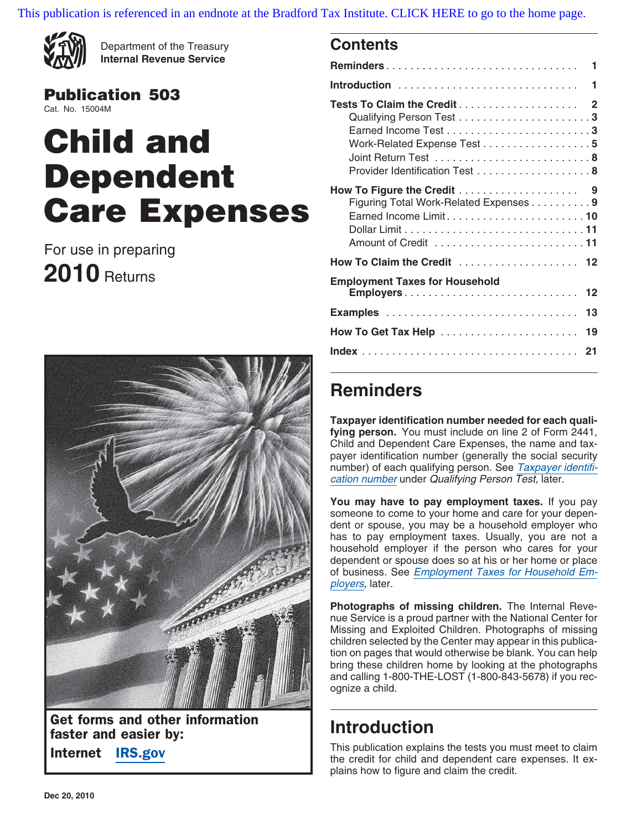[This publication is referenced in an endnote at the Bradford Tax Institute. CLICK HERE to go to the home page.](http://bradfordtaxinstitute.com/index1.aspx)



Department of the Treasury **Contents Internal Revenue Service** 

## **Publication 503** Cat. No. 15004M

# **Child and Dependent Care Expenses**

For use in preparing **2010** Returns



# Get forms and other information **Introduction**<br>faster and easier by:

| 1                                                                        |
|--------------------------------------------------------------------------|
| $\blacktriangleleft$                                                     |
| Work-Related Expense Test 5                                              |
| Provider Identification Test 8<br>Figuring Total Work-Related Expenses 9 |
|                                                                          |
| <b>Employment Taxes for Household</b>                                    |
| Examples<br>13                                                           |
| How To Get Tax Help<br>19                                                |
|                                                                          |

## **Reminders**

**Taxpayer identification number needed for each qualifying person.** You must include on line 2 of Form 2441, Child and Dependent Care Expenses, the name and taxpayer identification number (generally the social security number) of each qualifying person. See Taxpayer identification number under Qualifying Person Test, later.

**You may have to pay employment taxes.** If you pay someone to come to your home and care for your dependent or spouse, you may be a household employer who has to pay employment taxes. Usually, you are not a household employer if the person who cares for your dependent or spouse does so at his or her home or place of business. See Employment Taxes for Household Employers, later.

**Photographs of missing children.** The Internal Revenue Service is a proud partner with the National Center for Missing and Exploited Children. Photographs of missing children selected by the Center may appear in this publication on pages that would otherwise be blank. You can help bring these children home by looking at the photographs and calling 1-800-THE-LOST (1-800-843-5678) if you recognize a child.

**This publication explains the tests you must meet to claim Internet IRS.gov** This publication explains the tests you must meet to claim the credit for child and dependent care expenses. It explains how to figure and claim the credit.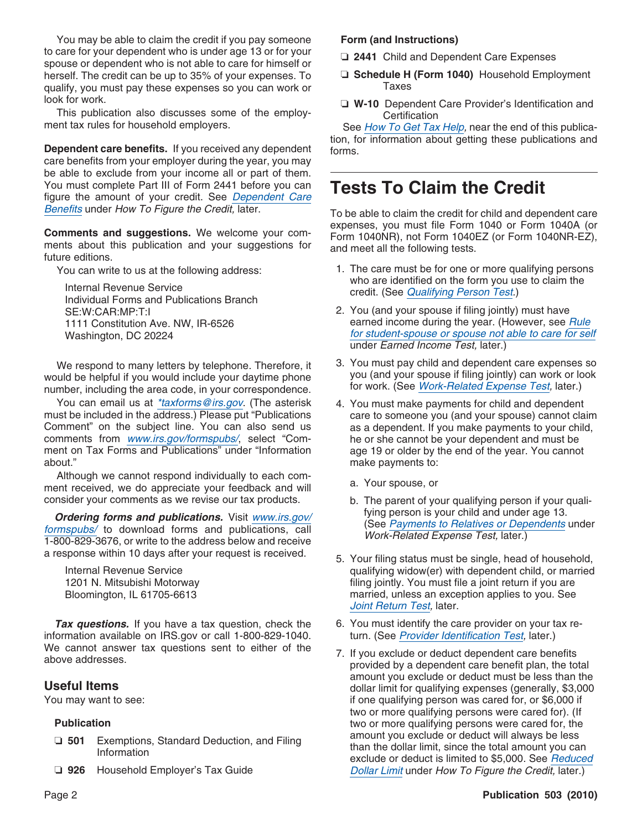You may be able to claim the credit if you pay someone **Form (and Instructions)** to care for your dependent who is under age 13 or for your <br>spouse or dependent who is not able to care for himself or<br>herself. The credit can be up to 35% of your expenses. To **Q Schedule H (Form 1040)** Household Employm herself. The credit can be up to 35% of your expenses. To **□ Schedule H** (Form 1040) Household Employment Amployment Consultively Maxes qualify, you must pay these expenses so you can work or

ment tax rules for household employers. See How To Get Tax Help, near the end of this publica-

care benefits from your employer during the year, you may be able to exclude from your income all or part of them. You must complete Part III of Form 2441 before you can **Tests To Claim the Credit** figure the amount of your credit. See *Dependent Care* Benefits under How To Figure the Credit, later.<br>To be able to claim the credit for child and dependent care

would be helpful if you would include your daytime phone you (and your spouse if filing jointly) can work or lo<br>for work. (See Work-Related Expense Test, later.) humber, including the area code, in your correspondence.

You can email us at *\*taxforms@irs.gov*. (The asterisk 4. You must make payments for child and dependent must be included in the address.) Please put "Publications care to someone you (and your spouse) cannot cla Comment" on the subject line. You can also send us comments from www.irs.gov/formspubs/, select "Com- he or she cannot be your dependent and must be ment on Tax Forms and Publications" under "Information age 19 or older by the end of the year. You cannot about." The contract of the contract of the contract of the contract of the contract of the contract of the contract of the contract of the contract of the contract of the contract of the contract of the contract of the co

Although we cannot respond individually to each com-<br>ment received, we do appreciate your feedback and will a. Your spouse, or

Ordering forms and publications. Visit www.irs.gov/<br>formspubs/ to download forms and publications, call (See Payments to Relatives or Dependents under<br>1-800-829-3676, or write to the address below and receive Work-Related a response within 10 days after your request is received.  $\overline{5}$ . Your filing status must be single, head of household,

**Tax questions.** If you have a tax question, check the 6. You must identify the care provider on your tax re-<br>
formation available on IRS.gov or call 1-800-829-1040. information available on IRS.gov or call 1-800-829-1040. We cannot answer tax questions sent to either of the 7. If you exclude or deduct dependent care benefits above addresses.

- 
- 

- 
- 
- look for work.<br>
This publication also discusses some of the employ-<br>
Certification<br>
Certification

tion, for information about getting these publications and<br> **Dependent care benefits.** If you received any dependent forms.

**Comments and suggestions.** We welcome your com-<br>ments about this publication and your suggestions for<br>future editions.<br>future editions.

- You can write to us at the following address: 1. The care must be for one or more qualifying persons Internal Revenue Service<br>Individual Forms and Publications Branch<br>Individual Forms and Publications Branch<br>Individual Forms and Publications Branch
	- SE:W:CAR:MP:T:I 2. You (and your spouse if filing jointly) must have 1111 Constitution Ave. NW, IR-6526 earned income during the year. (However, see Rule Washington, DC 20224 and the student-spouse or spouse not able to care for self under Earned Income Test, later.)
- We respond to many letters by telephone. Therefore, it 3. You must pay child and dependent care expenses so<br>you (and your spouse if filing jointly) can work or look
	- care to someone you (and your spouse) cannot claim<br>as a dependent. If you make payments to your child,
		-
- consider your comments as we revise our tax products.<br>**b.** The parent of your qualifying person if your quali-<br>fying person is your child and under age 13.
	- Internal Revenue Service qualifying widow(er) with dependent child, or married 1201 N. Mitsubishi Motorway filing jointly. You must file a joint return if you are Bloomington, IL 61705-6613 married, unless an exception applies to you. See Joint Return Test, later.
		-
- amount you exclude or deduct must be less than the **Useful Items** dollar limit for qualifying expenses (generally, \$3,000 You may want to see: if one qualifying person was cared for, or \$6,000 if two or more qualifying persons were cared for). (If **Publication Publication two or more qualifying persons were cared for, the □ 501** Exemptions, Standard Deduction, and Filing amount you exclude or deduct will always be less than the dollar limit, since the total amount you can Information exclude or deduct is limited to \$5,000. See Reduced ❏ **926** Household Employer's Tax Guide Dollar Limit under How To Figure the Credit, later.)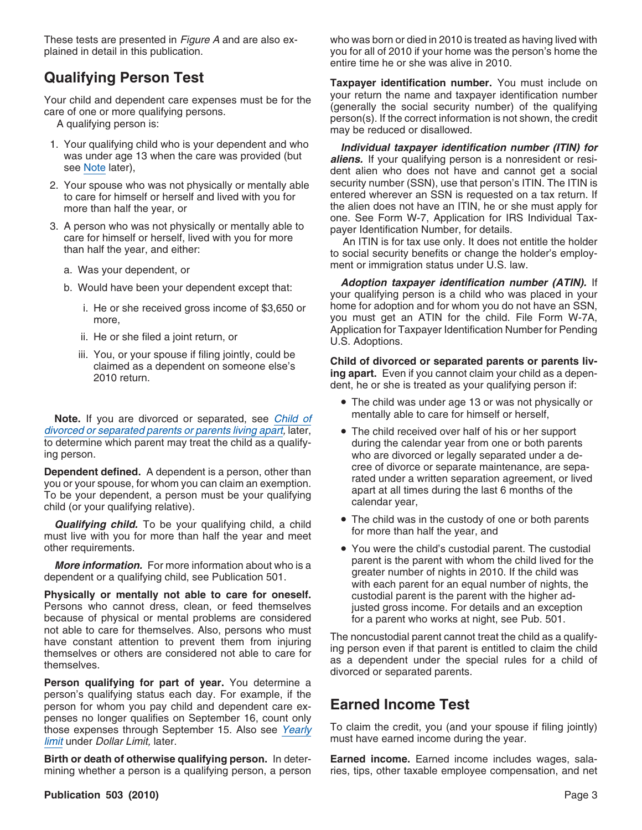## **Qualifying Person Test Taxpayer identification number.** You must include on

- 1. Your qualifying child who is your dependent and who<br>was under age 13 when the care was provided (but<br>see Note later), dent alien who does not have and cannot get a social
- 
- 3. A person who was not physically or mentally able to<br>care for himself or herself, lived with you for more<br>than half the year, and either:<br>than half the year, and either:<br>than half the year, and either:<br>to social security
	-
	- -
		-
		-

Note. If you are divorced or separated, see *Child of* mentally able to care for himself or herself, divorced or separated parents or parents living apart, later, **•** The child received over half of his or her support to determine which parent may treat the child as a qualify-<br>ing person. Who are divorced or legally separated under a de-

**Dependent defined.** A dependent is a person, other than you or your spouse, for whom you can claim an exemption.<br>To be your dependent, a person must be your qualifying and a semption.<br>To be your dependent, a person must b

**Qualifying child.** To be your qualifying child, a child **For the child must live with you for more than half the year and meet** for more than half the year, and other requirements. • The custodial parents of the child's custodial parent. The custodial parent. The custodial

Persons who cannot dress, clean, or feed themselves justed gross income. For details and an exception because of physical or mental problems are considered for a parent who works at night, see Pub. 501.<br>not able to care for themselves. Also, persons who must

**Person qualifying for part of year.** You determine a person's qualifying status each day. For example, if the person for whom you pay child and dependent care ex- **Earned Income Test** penses no longer qualifies on September 16, count only<br>those expenses through September 15. Also see *Yearly* To claim the credit, you (and your spouse if filing jointly)<br>*limit* under *Dollar Limit*, later.

**Birth or death of otherwise qualifying person.** In deter- **Earned income.** Earned income includes wages, salamining whether a person is a qualifying person, a person ries, tips, other taxable employee compensation, and net

These tests are presented in Figure A and are also ex-<br>who was born or died in 2010 is treated as having lived with plained in detail in this publication. you for all of 2010 if your home was the person's home the entire time he or she was alive in 2010.

Your child and dependent care expenses must be for the<br>care of one or more qualifying persons.<br>A qualifying person is:<br>A qualifying person is:<br> $\begin{array}{c} \text{Four return the name and taxpaper identifier number} \\ \text{(generally the social security number)} \\ \text{de qualifying person(s). If the correct information is not shown, the credit may be reduced or disallowed.} \end{array}$ 

dent alien who does not have and cannot get a social 2. Your spouse who was not physically or mentally able security number (SSN), use that person's ITIN. The ITIN is to care for himself or herself and lived with you for entered wherever an SSN is requested on a tax return. If more than half the year, or the alien does not have an ITIN, he or she must apply for<br>one. See Form W-7, Application for IRS Individual Tax-

a. Was your dependent, or **interprettively** ment or immigration status under U.S. law.

b. Would have been your dependent except that: **Adoption taxpayer identification number (ATIN).** If your qualifying person is a child who was placed in your i. He or she received gross income of  $$3,650$  or home for adoption and for whom you do not have an SSN, more, you must get an ATIN for the child. File Form W-7A, ii. He or she filed a joint return, or **Example 20** Application for Taxpayer Identification Number for Pending ii. He or she filed a joint return, or

iii. You, or your spouse if filing jointly, could be<br>claimed as a dependent on someone else's<br>2010 return.<br>2010 return.

- The child was under age 13 or was not physically or
- who are divorced or legally separated under a de-
- The child was in the custody of one or both parents
- **More information.** For more information about who is a<br>dependent or a qualifying child, see Publication 501.<br>**Physically or mentally not able to care for oneself.** Physically or mentally not able to care for oneself. custodial parent is the parent with the higher ad-

not able to care for themselves. Also, persons who must<br>have constant attention to prevent them from injuring<br>themselves or others are considered not able to care for<br>themselves.<br>themselves.<br>divorced or separated parents.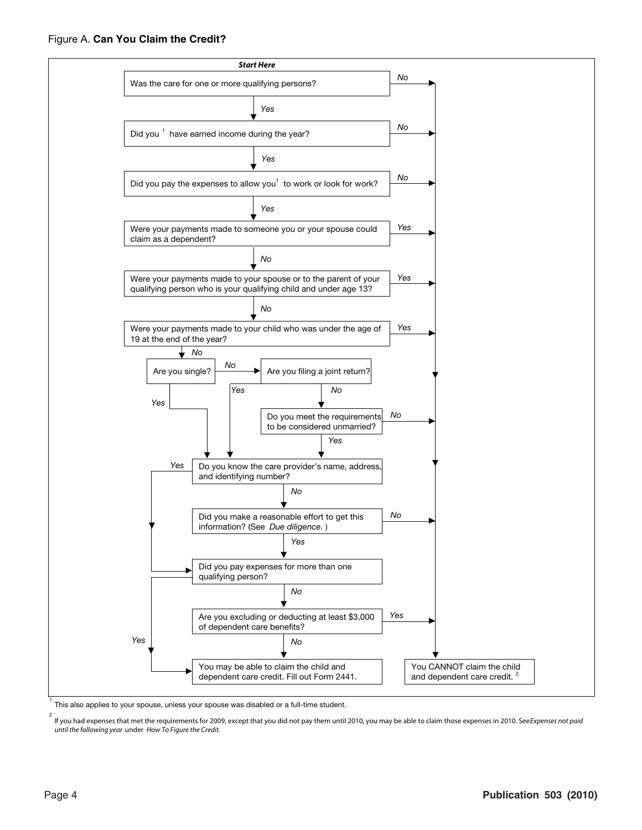



1 This also applies to your spouse, unless your spouse was disabled or a full-time student.

If you had expenses that met the requirements for 2009, except that you did not pay them until 2010, you may be able to claim those expenses in 2010. See Expenses not paid until the following year under How To Figure the Credit.

2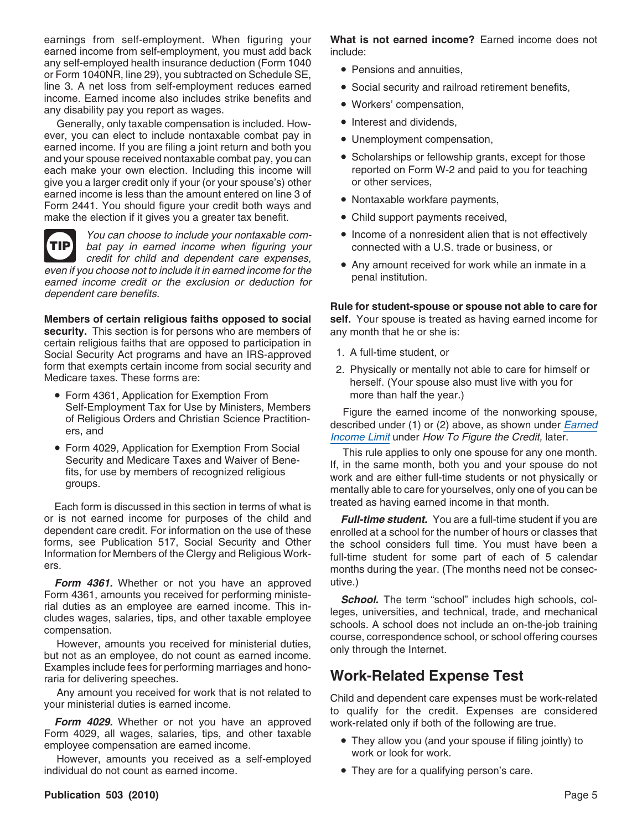earnings from self-employment. When figuring your **What is not earned income?** Earned income does not earned income from self-employment, you must add back include: any self-employed health insurance deduction (Form 1040 • Pensions and annuities, or Form 1040NR, line 29), you subtracted on Schedule SE, line 3. A net loss from self-employment reduces earned • Social security and railroad retirement benefits, income. Earned income also includes strike benefits and any disability pay you report as wages.

Generally, only taxable compensation is included. How-<br>
• Interest and dividends, ever, you can elect to include nontaxable combat pay in  $\bullet$  Unemployment compensation. earned income. If you are filing a joint return and both you<br>and your spouse received nontaxable combat pay, you can<br>Scholarships or fellowship grants, except for those and your spouse received nontaxable combat pay, you can  $\bullet$  Scholarships or fellowship grants, except for those<br>each make your own election. Including this income will eported on Form W-2 and paid to you for teaching each make your own election. Including this income will give you a larger credit only if your (or your spouse's) other or other services, earned income is less than the amount entered on line 3 of<br>
Form 2441, You should figure your aradit both wave and<br>
• Nontaxable workfare payments, Form 2441. You should figure your credit both ways and make the election if it gives you a greater tax benefit. • Child support payments received,



bat pay in earned income when figuring your connected with a U.S. trade or business, or credit for child and dependent care expenses,

even if you choose not to include it in earned income for the any amount rece<br>earned income credit or the exclusion or deduction for earned institution. dependent care benefits.

**Members of certain religious faiths opposed to social self.** Your spouse is treated as having earned income for **security.** This section is for persons who are members of any month that he or she is: certain religious faiths that are opposed to participation in Social Security Act programs and have an IRS-approved 1. A full-time student, or form that exempts certain income from social security and 2. Physically or mentally not able to care for himself or<br>Medicare taxes. These forms are: herself. (Your spouse also must live with you for

- Form 4361, Application for Exemption From more than half the year.)
- Form 4029, Application for Exemption From Social

Each form is discussed in this section in terms of what is treated as having earned income in that month. or is not earned income for purposes of the child and **Full-time student.** You are a full-time student if you are dependent care credit. For information on the use of these enrolled at a school for the number of hours or c forms, see Publication 517, Social Security and Other the school considers full time. You must have been a Information for Members of the Clergy and Religious Work- full-time student for some part of each of 5 calendar

Form 4361. Whether or not you have an approved utive.)

Examples include fees for performing marriages and honoraria for delivering speeches. **Work-Related Expense Test**

**Form 4029.** Whether or not you have an approved work-related only if both of the following are true. Form 4029, all wages, salaries, tips, and other taxable • They allow you (and your spouse if filing jointly) to employee compensation are earned income.

progee compensation are canned income.<br>However, amounts you received as a self-employed work or look for work. individual do not count as earned income. • They are for a qualifying person's care.

- 
- 
- Workers' compensation,
- 
- 
- 
- 
- 
- You can choose to include your nontaxable com-<br>• Income of a nonresident alien that is not effectively
	- Any amount received for work while an inmate in a

**Rule for student-spouse or spouse not able to care for**

- 
- 

Self-Employment Tax for Use by Ministers, Members<br>of Religious Orders and Christian Science Practition-<br>ers, and<br>*Income Limit* under *How To Figure the Credit*, later.<br>*Income Limit* under *How To Figure the Credit*, late

Form 4029, Application for Exemption From Social This rule applies to only one spouse for any one month.<br>Security and Medicare Taxes and Waiver of Bene-<br>fits, for use by members of recognized religious work and are either

enrolled at a school for the number of hours or classes that months during the year. (The months need not be consec-

Form 4361, amounts you received for performing ministe-<br>rial duties as an employee are earned income. This in-<br>cludes wages, salaries, tips, and other taxable employee<br>compensation.<br>However, amounts you received for minist

Any amount you received for work that is not related to<br>your ministerial duties is earned income.<br>to qualify for the credit. Expenses are considered

- 
-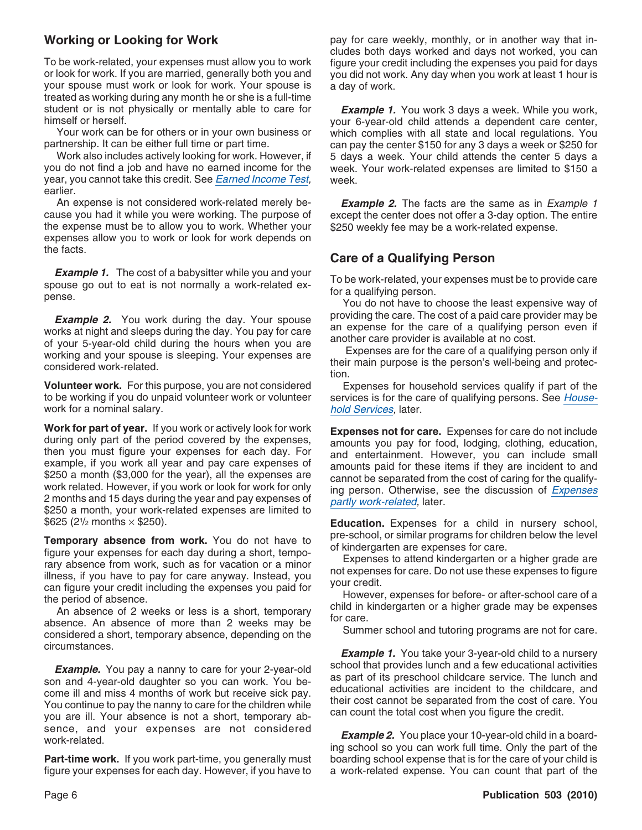To be work-related, your expenses must allow you to work figure your credit including the expenses you paid for days<br>The book for work. If you are married, generally both you and you did not work. Any day when you work at your spouse must work or look for work. Your spouse is a day of work. treated as working during any month he or she is a full-time student or is not physically or mentally able to care for **Example 1.** You work 3 days a week. While you work, himself or herself.<br>Your 6-vear-old child attends a dependent care center.

Your work can be for others or in your own business or which complies with all state and local regulations. You<br>can pay the center \$150 for any 3 days a week or \$250 for

you do not find a job and have no earned income for the week. Your work-related expenses are limited to \$150 a year, you cannot take this credit. See *Earned Income Test*, week. earlier.

cause you had it while you were working. The purpose of except the center does not offer a 3-day option. The entire the expense must be to allow you to work. Whether your \$250 weekly fee may be a work-related expense. expenses allow you to work or look for work depends on the facts. **Care of a Qualifying Person**

**Example 1.** The cost of a babysitter while you and your<br>spouse go out to eat is not normally a work-related ex-<br>pense.<br>You do not have to choose the least expensive way of

**Example 2.** You work during the day. Your spouse<br>works at night and sleeps during the day. You pay for care<br>of your 5-year-old child during the hours when you are<br>working and your spouse is sleeping. Your expenses are<br>con

**Volunteer work.** For this purpose, you are not considered Expenses for household services qualify if part of the to be working if you do unpaid volunteer work or volunteer services is for the care of qualifying persons. See Housework for a nominal salary. The same of the services of the services, later.

**Work for part of year.** If you work or actively look for work<br>
during only part of the period covered by the expenses,<br>
then you must figure your expenses for each day. For<br>
example, if you work all year and pay care exp \$250 a month, your work-related expenses are limited to \$625 (2 $\frac{1}{2}$  months  $\times$  \$250).

**Temporary absence from work.** You do not have to<br>figure your expenses for each day during a short, tempo-<br>rary absence from work, such as for vacation or a minor<br>illness, if you have to pay for care anyway. Instead, you<br>i

**Example.** You pay a nanny to care for your 2-year-old<br>son and 4-year-old daughter so you can work. You be-<br>come ill and miss 4 months of work but receive sick pay.<br>You continue to pay the nanny to care for the children wh

**Part-time work.** If you work part-time, you generally must boarding school expense that is for the care of your child is figure your expenses for each day. However, if you have to a work-related expense. You can count that part of the

**Working or Looking for Work pay for care weekly, monthly, or in another way that in**cludes both days worked and days not worked, you can you did not work. Any day when you work at least 1 hour is

nself or herself.<br>Your work can be for others or in your own business or bushich complies with all state and local regulations. You can pay the center \$150 for any 3 days a week or \$250 for Work also includes actively looking for work. However, if 5 days a week. Your child attends the center 5 days a

An expense is not considered work-related merely be- *Example 2.* The facts are the same as in Example 1

**Education.** Expenses for a child in nursery school,

circumstances. *Example 1.* You take your 3-year-old child to a nursery

sence, and your expenses are not considered<br>*Example 2.* You place your 10-year-old child in a board-<br>ing school so you can work full time. Only the part of the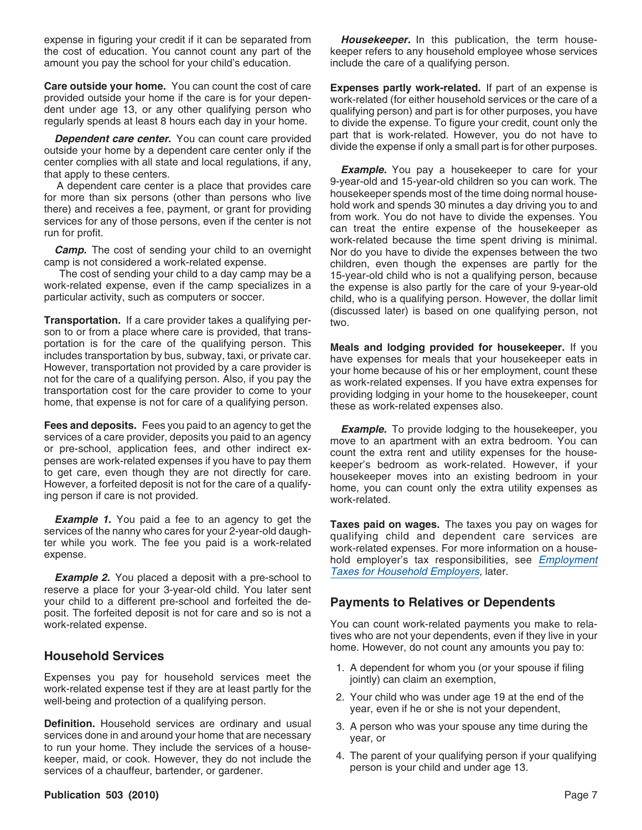expense in figuring your credit if it can be separated from *Housekeeper.* In this publication, the term housethe cost of education. You cannot count any part of the keeper refers to any household employee whose services amount you pay the school for your child's education. include the care of a qualifying person.

**Care outside your home.** You can count the cost of care **Expenses partly work-related.** If part of an expense is provided outside your home if the care is for your depen-<br>dent under age 13, or any other qualifying person who gualifying person) and part is for other purposes, you have dent under age 13, or any other qualifying person who qualifying person) and part is for other purposes, you have<br>The regularly spends at least 8 hours each day in your home. To divide the expense. To figure your credit, c

**Dependent care center.** You can count care provided part that is work-related. However, you do not have to outside your home by a dependent care center only if the divide the expense if only a small part is for other purp

The cost of sending your child to a day camp may be a 15-year-old child who is not a qualifying person, because<br>work-related expense, even if the camp specializes in a the expense is also partly for the care of your 9-year

son to or from a place where care is provided, that trans-

Fees and deposits. Fees you paid to an agency to get the<br>services of a care provider, deposits you paid to an agency<br>or pre-school, application fees, and other indirect ex-<br>penses are work-related expenses if you have to p

**Example 2.** You placed a deposit with a pre-school to Taxes for Household Employers, later. reserve a place for your 3-year-old child. You later sent your child to a different pre-school and forfeited the de- **Payments to Relatives or Dependents** posit. The forfeited deposit is not for care and so is not a work-related expense. You can count work-related payments you make to rela-

1. A dependent for whom you (or your spouse if filing Expenses you pay for household services meet the jointly) can claim an exemption, work-related expense test if they are at least partly for the well-being and protection of a qualifying person. 2. Your child who was under age 19 at the end of the

**Definition.** Household services are ordinary and usual services done in and around your home that are necessary<br>to run your home. They include the services of a house-<br>keeper, maid, or cook. However, they do not include t

## **Publication 503 (2010)** Page 7

to divide the expense. To figure your credit, count only the

center complies with all state and local regulations, if any,<br>
that apply to these centers.<br>
A dependent care center is a place that provides care<br>
for more than six persons (other than persons who live<br>
for more than six camp is not considered a work-related expense.<br>The cost of sending your child to a day camp may be a 15-year-old child who is not a qualifying person, because the expense is also partly for the care of your 9-year-old particular activity, such as computers or soccer. child, who is a qualifying person. However, the dollar limit (discussed later) is based on one qualifying person, not **Transportation.** If a care provider takes a qualifying per- two.

portation is for the care of the qualifying person. This **Meals and lodging provided for housekeeper.** If you<br>includes transportation by bus, subway, taxi, or private car.<br>However, transportation not provided by a care pro

**Example 1.** You paid a fee to an agency to get the **Taxes paid on wages.** The taxes you pay on wages for services of the nanny who cares for your 2-year-old daugh-<br>ter while you work. The fee you paid is a work-related wo

tives who are not your dependents, even if they live in your home. However, do not count any amounts you pay to: **Household Services**

- 
- year, even if he or she is not your dependent,
- 
-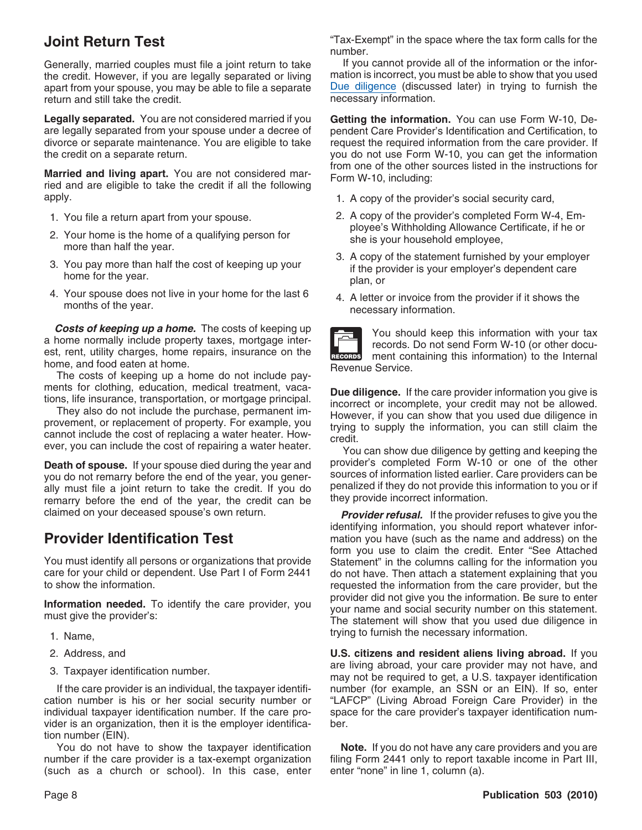the credit. However, if you are legally separated or living apart from your spouse, you may be able to file a separate Due diligence (discussed later) in trying to furnish the return and still take the credit. return and still take the credit.

**Legally separated.** You are not considered married if you **Getting the information.** You can use Form W-10, Deare legally separated from your spouse under a decree of pendent Care Provider's Identification and Certification, to divorce or separate maintenance. You are eligible to take request the required information from the care provider. If the credit on a separate return. you do not use Form W-10, you can get the information

apply. The provider's social security card, and the provider's social security card,

- 
- 2. Your home is the home of a qualifying person for<br>more than half the year.<br>3. A copy of the statement furnished by your employer
- 
- 4. Your spouse does not live in your home for the last 6 4. A letter or invoice from the provider if it shows the months of the year.

**Costs of keeping up a home**. The costs of keeping up<br>a home normally include property taxes, mortgage inter-<br>est, rent, utility charges, home repairs, insurance on the<br>home, and food eaten at home.<br>The costs of keeping up

you do not remarry before the end of the year, you gener-<br>ally must file a joint return to take the credit. If you do penalized if they do not provide this information to you or if ally must file a joint return to take the credit. If you do penalized if they do not provide this remarry before the end of the year, the credit can be they provide incorrect information. remarry before the end of the year, the credit can be claimed on your deceased spouse's own return.

You must identify all persons or organizations that provide Statement" in the columns calling for the information you care for your child or dependent. Use Part I of Form 2441 do not have. Then attach a statement explaining that you<br>requested the information from the care provider, but the

- 
- 
- 

cation number is his or her social security number or "LAFCP" (Living Abroad Foreign Care Provider) in the individual taxpayer identification number. If the care pro- space for the care provider's taxpayer identification numvider is an organization, then it is the employer identifica- ber. tion number (EIN).

number if the care provider is a tax-exempt organization filing Form 2441 only to report taxable income in Part III, (such as a church or school). In this case, enter enter "none" in line 1, column (a).

**Joint Return Test** Tax-Exempt" in the space where the tax form calls for the number.

Generally, married couples must file a joint return to take If you cannot provide all of the information or the infor-<br>the credit. However, if you are legally separated or living mation is incorrect, you must be able to sh

**Married and living apart.** You are not considered mar-<br>ried and are eligible to take the credit if all the following<br>form W-10, including:

- 
- 1. You file a return apart from your spouse.<br>2. A copy of the provider's completed Form W-4, Em-<br>ployee's Withholding Allowance Certificate, if he or
- 3. You pay more than half the cost of keeping up your if the provider is your employer's dependent care home for the year.
	-



ments for clothing, education, medical treatment, vaca-<br>tions, life insurance, transportation, or mortgage principal.<br>They also do not include the purchase, permanent im-<br>provement, or replacement of property. For example,

**Death of spouse.** If your spouse died during the year and provider's completed Form W-10 or one of the other vour do not remarry before the end of the year you gener. Sources of information listed earlier. Care providers

**Provider refusal.** If the provider refuses to give you the identifying information, you should report whatever infor-**Provider Identification Test** mation you have (such as the name and address) on the form you use to claim the credit. Enter "See Attached requested the information from the care provider, but the **Information needed.** To identify the care provider, you provider did not give you the information. Be sure to enter<br>must give the provider's: The statement will show that you used due diligence in trying to furnish the necessary information. 1. Name,

2. Address, and **U.S. citizens and resident aliens living abroad.** If you are living abroad, your care provider may not have, and<br>may not be required to get, a U.S. taxpayer identification If the care provider is an individual, the taxpayer identifi- number (for example, an SSN or an EIN). If so, enter

You do not have to show the taxpayer identification **Note.** If you do not have any care providers and you are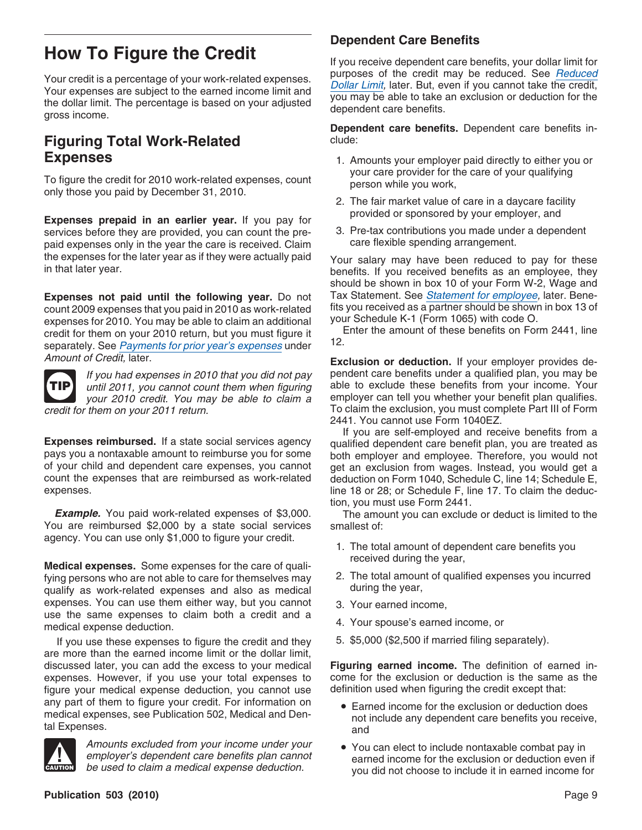## **How To Figure the Credit** If you receive dependent care benefits, your dollar limit for

Your credit is a percentage of your work-related expenses.<br>
Your expenses are subject to the earned income limit and<br>
the dollar limit. The percentage is based on your adjusted<br>
gou may be able to take an exclusion or dedu

# **Figuring Total Work-Related <b>Concretent** clude:

To figure the credit for 2010 work-related expenses, count<br>only those you paid by December 31, 2010.<br>2. The fair market value of care in a daycare facility

provided or sponsored by your employer, and **Expenses prepaid in an earlier year.** If you pay for services before they are provided, you can count the pre- 3. Pre-tax contributions you made under paid expenses only in the year the care is received. Claim paid expenses only in the year the care is received. Claim the expenses for the later year as if they were actually paid Your salary may have been reduced to pay for these<br>in that later year. benefits. If you received benefits as an employee, they

count 2009 expenses that you paid in 2010 as work-related fits you received as a partner should be shown<br>In box 1300 oxpenses for 2010, You may be able to claim an additional your Schedule K-1 (Form 1065) with code expenses for 2010. You may be able to claim an additional your Schedule K-1 (Form 1065) with code O.<br>Credit for them on your 2010 return, but you must figure it. Enter the amount of these benefits on Form 2441, line credit for them on your 2010 return, but you must figure it<br>separately. See Payments for prior year's expenses under 12. Amount of Credit, later.



of your child and dependent care expenses, you cannot get an exclusion from wages. Instead, you would get a<br>Count the expenses that are reimbursed as work-related deduction on Form 1040. Schedule C. line 14: Schedule E expenses. line 18 or 28; or Schedule F, line 17. To claim the deduc-

You are reimbursed \$2,000 by a state social services smallest of: agency. You can use only \$1,000 to figure your credit.<br>1. The total amount of dependent care benefits you

**Medical expenses.** Some expenses for the care of quali-<br>fying persons who are not able to care for themselves may 2. The total amount of qualified expenses you incurred fying persons who are not able to care for themselves may 2. The total amount of qualify as work-related expenses and also as medical during the year, qualify as work-related expenses and also as medical expenses. You can use them either way, but you cannot  $\qquad$  3. Your earned income, use the same expenses to claim both a credit and a medical expense deduction. The state of the state and state  $\frac{1}{2}$  at  $\frac{1}{2}$  Your spouse's earned income, or

If you use these expenses to figure the credit and they  $\qquad 5.$  \$5,000 (\$2,500 if married filing separately). are more than the earned income limit or the dollar limit, discussed later, you can add the excess to your medical **Figuring earned income.** The definition of earned inexpenses. However, if you use your total expenses to come for the exclusion or deduction is the same as the figure vour medical expense deduction, you cannot use definition used when figuring the credit except that: figure your medical expense deduction, you cannot use any part of them to figure your credit. For information on medical expenses, see Publication 502, Medical and Den-<br>
not include any dependent care benefits you receive,<br>
and



Amounts excluded from your income under your • You can elect to include nontaxable combat pay in be used to claim a medical expense deduction.

## **Dependent Care Benefits**

**Dependent care benefits.** Dependent care benefits in-

- **Expenses** Expenses
	-
	-

should be shown in box 10 of your Form W-2, Wage and **Expenses not paid until the following year.** Do not Tax Statement. See *Statement for employee*, later. Bene-<br>count 2009 expenses that you paid in 2010 as work-related fits you received as a partner should be shown in box

If you had expenses in 2010 that you did not pay pendent care benefits under a qualified plan, you may be until 2011, you cannot count them when figuring able to exclude these benefits from your income. Your your 2010 credit. You may be able to claim  $a$  employer can tell you whether your benefit plan qualifies. credit for them on your 2011 return. To claim the exclusion, you must complete Part III of Form 2441. You cannot use Form 1040EZ.

**Expenses reimbursed.** If a state social services agency and receive benefits from a qualified dependent care benefit plan, you are treated as pays you a nontaxable amount to reimburse you for some both employer and employ deduction on Form 1040, Schedule C, line 14; Schedule E, tion, you must use Form 2441.

**Example.** You paid work-related expenses of \$3,000. The amount you can exclude or deduct is limited to the

- 
- 
- 
- 
- 

- Earned income for the exclusion or deduction does
- employer's dependent care benefits plan cannot earned income for the exclusion or deduction even if you did not choose to include it in earned income for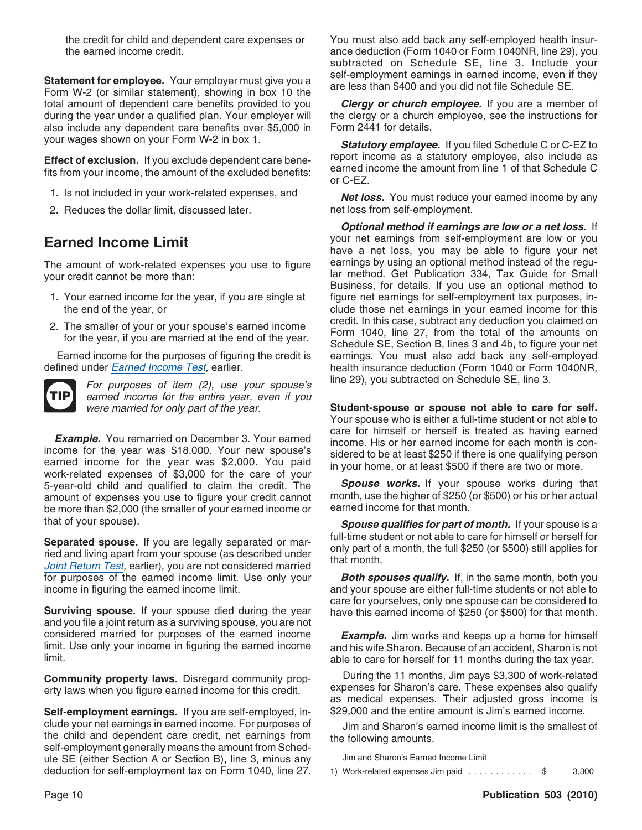total amount of dependent care benefits provided to you *Clergy or church employee.* If you are a member of during the year under a qualified plan. Your employer will the clergy or a church employee, see the instructions for also include any dependent care benefits over \$5,000 in Form 2441 for details. your wages shown on your Form W-2 in box 1. *Statutory employee.* If you filed Schedule C or C-EZ to

- 
- 2. Reduces the dollar limit, discussed later. The net loss from self-employment.

- 
- 



earned income for the entire year, even if you

**Example.** You remarried on December 3. Your earned<br>income. His or her seared income for each month is con-<br>income for the year was \$18,000. Your new spouse's<br>earned income for the year was \$2,000. You paid<br>work-related ex 5-year-old child and qualified to claim the credit. The amount of expenses you use to figure your credit cannot month, use the higher of \$250 (or \$500) or his or her actual<br>he more than \$2,000 (the smaller of your earned income or earned income for that month. be more than \$2,000 (the smaller of your earned income or that of your spouse).

for purposes of the earned income limit. Use only your *Both spouses qualify.* If, in the same month, both you income in figuring the earned income limit. and your spouse are either full-time students or not able to

**Surviving spouse.** If your spouse died during the year care for yourselves, only one spouse can be considered to<br>and you file a joint return as a surviving spouse, you are not<br>considered married for purposes of the earned considered married for purposes of the earned income *Example.* Jim works and keeps up a home for himself limit. Use only your income in figuring the earned income and his wife Sharon. Because of an accident, Sharon is not

clude your net earnings in earned income. For purposes of Jim and Sharon's earned income limit is the smallest of the child and dependent care credit, net earnings from the following amounts.<br>
self-employment generally means the amount from Sched-<br>
ule SF (either Section A or Section B) line 3 minus any Jim and Sharon's Eamed Income L ule SE (either Section A or Section B), line 3, minus any deduction for self-employment tax on Form 1040, line 27. 1) Work-related expenses Jim paid ...............\$ 3,300

the credit for child and dependent care expenses or You must also add back any self-employed health insurthe earned income credit. The same credit of the earned income credit. The same control of Form 1040 or Form 1040NR, line 29), you subtracted on Schedule SE, line 3. Include your **Statement for employee.** Your employer must give you a self-employment earnings in earned income, even if they are less than \$400 and you did not file Schedule SE.<br>Form W-2 (or similar statement), showing in box 10 the

**Effect of exclusion.** If you exclude dependent care bene-<br>fits from your income, the amount of the excluded benefits:<br>or C-EZ.

1. Is not included in your work-related expenses, and *Net loss.* You must reduce your earned income by any

*Optional method if earnings are low or a net loss.* If **Earned Income Limit Earned Income Limit Earned Income Limit** have a net loss, you may be able to figure your net The amount of work-related expenses you use to figure earnings by using an optional method instead of the regu-<br>Iar method. Get Publication 334, Tax Guide for Small lar method. Get Publication 334, Tax Guide for Small your credit cannot be more than: Business, for details. If you use an optional method to 1. Your earned income for the year, if you are single at figure net earnings for self-employment tax purposes, inthe end of the year, or clude those net earnings in your earned income for this 2. The smaller of your or your spouse's earned income<br>for the year, if you are married at the end of the year.<br>Form 1040, line 27, from the total of the amounts on<br>Schedule SE, Section B, lines 3 and 4b, to figure your net Earned income for the purposes of figuring the credit is earnings. You must also add back any self-employed defined under *Earned Income Test*, earlier. <br>health insurance deduction (Form 1040 or Form 1040NR, health insurance deduction (Form 1040 or Form 1040NR, For purposes of item (2), use your spouse's line 29), you subtracted on Schedule SE, line 3.

were married for only part of the year. **Student-spouse or spouse not able to care for self.** Your spouse who is either a full-time student or not able to

Spouse qualifies for part of month. If your spouse is a **Separated spouse.** If you are legally separated or mar-<br>ried and living apart from your spouse (as described under<br>Joint Return Test, earlier), you are not considered married<br>Joint Return Test, earlier), you are not consi

able to care for herself for 11 months during the tax year.

**Community property laws.** Disregard community prop-<br> **Community property laws** when you figure earned income for this credit<br>
expenses for Sharon's care. These expenses also qualify erty laws when you figure earned income for this credit. expenses for Sharon's care. Their adjusted gross income is<br>as medical expenses. Their adjusted gross income is **Self-employment earnings.** If you are self-employed, in- \$29,000 and the entire amount is Jim's earned income.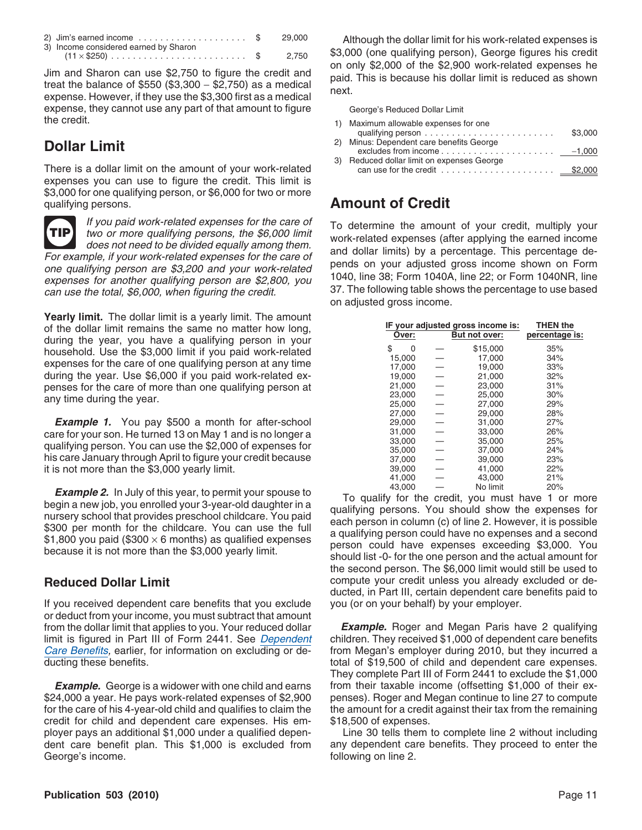| 2) Jim's earned income $\ldots \ldots \ldots \ldots \ldots$ \$ | 29.000 |
|----------------------------------------------------------------|--------|
| 3) Income considered earned by Sharon                          |        |
| $(11 \times $250)$ \$                                          | 2.750  |

Jim and Sharon can use \$2,750 to figure the credit and<br>treat the balance of \$550 (\$3,300 – \$2,750) as a medical<br>expense. However, if they use the \$3,300 first as a medical<br>expense. However, if they use the \$3,300 first as expense, they cannot use any part of that amount to figure George's Reduced Dollar Limit the credit surveyed to the Credit the credit. The credit is a set of the credit.

There is a dollar limit on the amount of your work-related expenses you can use to figure the credit. This limit is \$3,000 for one qualifying person, or \$6,000 for two or more qualifying persons. **Amount of Credit**



can use the total, \$6,000, when figuring the credit.

**Yearly limit.** The dollar limit is a yearly limit. The amount<br>of the dollar limit remains the same no matter how long,<br>during the year, you have a qualifying person in your<br>household. Use the \$3,000 limit if you paid wor during the year. Use \$6,000 if you paid work-related expenses for the care of more than one qualifying person at any time during the year.

**Example 1.** You pay \$500 a month for after-school care for your son. He turned 13 on May 1 and is no longer a qualifying person. You can use the \$2,000 of expenses for his care January through April to figure your credit because it is not more than the  $$3,000$  yearly limit.

If you received dependent care benefits that you exclude you (or on your behalf) by your employer. or deduct from your income, you must subtract that amount from the dollar limit that applies to you. Your reduced dollar *Example.* Roger and Megan Paris have 2 qualifying limit is figured in Part III of Form 2441. See *Dependent* children. They received \$1,000 of dependent care benefits Care Benefits, earlier, for information on excluding or de-<br>from Megan's employer during 2010, but they i Care Benefits, earlier, for information on excluding or deducting these benefits. The set of the total of \$19,500 of child and dependent care expenses.

\$24,000 a year. He pays work-related expenses of \$2,900 penses). Roger and Megan continue to line 27 to compute for the care of his 4-year-old child and qualifies to claim the the amount for a credit against their tax from the remaining credit for child and dependent care expenses. His em- \$18,500 of expenses. ployer pays an additional \$1,000 under a qualified depen- Line 30 tells them to complete line 2 without including dent care benefit plan. This \$1,000 is excluded from any dependent care benefits. They proceed to enter the George's income. **Following on line 2. Following on line 2.** 

Although the dollar limit for his work-related expenses is<br>\$3,000 (one qualifying person), George figures his credit<br>on only \$2,000 of the \$2,900 work-related expenses he

| ine creait.                                                     | 1) Maximum allowable expenses for one                                                           |         |
|-----------------------------------------------------------------|-------------------------------------------------------------------------------------------------|---------|
|                                                                 | qualifying person $\ldots \ldots \ldots \ldots \ldots \ldots \ldots$                            | \$3,000 |
| <b>Dollar Limit</b>                                             | 2) Minus: Dependent care benefits George                                                        |         |
|                                                                 |                                                                                                 |         |
|                                                                 | 3) Reduced dollar limit on expenses George                                                      |         |
| There is a dollar limit on the amount of your work-related      | can use for the credit $\ldots \ldots \ldots \ldots \ldots \ldots \qquad \frac{$2,000}{\ldots}$ |         |
| このことには、このことに、このことに、このこれは、 <i>特に、この</i> これには、このこの場所、実現する、特になります。 |                                                                                                 |         |

If you paid work-related expenses for the care of<br>two or more qualifying persons, the \$6,000 limit<br>does not need to be divided equally among them.<br>and dollar limits) by a percentage. This percentage de-<br>and dollar limits) For example, if your work-related expenses for the care of<br>one qualifying person are \$3,200 and your work-related<br>expenses for another qualifying person are \$2,800, you 1040, line 38; Form 1040A, line 22; or Form 1040NR, l on adjusted gross income.

| <b>THEN the</b><br>IF your adjusted gross income is:<br>But not over:<br>percentage is:<br>Over: |  |          |     |  |  |  |  |  |  |  |
|--------------------------------------------------------------------------------------------------|--|----------|-----|--|--|--|--|--|--|--|
|                                                                                                  |  |          |     |  |  |  |  |  |  |  |
| \$<br>ი                                                                                          |  | \$15,000 | 35% |  |  |  |  |  |  |  |
| 15,000                                                                                           |  | 17,000   | 34% |  |  |  |  |  |  |  |
| 17.000                                                                                           |  | 19.000   | 33% |  |  |  |  |  |  |  |
| 19.000                                                                                           |  | 21,000   | 32% |  |  |  |  |  |  |  |
| 21.000                                                                                           |  | 23,000   | 31% |  |  |  |  |  |  |  |
| 23,000                                                                                           |  | 25,000   | 30% |  |  |  |  |  |  |  |
| 25.000                                                                                           |  | 27,000   | 29% |  |  |  |  |  |  |  |
| 27,000                                                                                           |  | 29,000   | 28% |  |  |  |  |  |  |  |
| 29.000                                                                                           |  | 31.000   | 27% |  |  |  |  |  |  |  |
| 31,000                                                                                           |  | 33,000   | 26% |  |  |  |  |  |  |  |
| 33.000                                                                                           |  | 35,000   | 25% |  |  |  |  |  |  |  |
| 35.000                                                                                           |  | 37.000   | 24% |  |  |  |  |  |  |  |
| 37,000                                                                                           |  | 39,000   | 23% |  |  |  |  |  |  |  |
| 39.000                                                                                           |  | 41.000   | 22% |  |  |  |  |  |  |  |
| 41,000                                                                                           |  | 43,000   | 21% |  |  |  |  |  |  |  |
| 43.000                                                                                           |  | No limit | 20% |  |  |  |  |  |  |  |

**Example 2.** In July of this year, to permit your spouse to<br>begin a new job, you enrolled your 3-year-old daughter in a<br>mursery school that provides preschool childcare. You paid<br>\$300 per month for the childcare. You can the second person. The \$6,000 limit would still be used to **Reduced Dollar Limit** compute your credit unless you already excluded or deducted, in Part III, certain dependent care benefits paid to

They complete Part III of Form 2441 to exclude the \$1,000 **Example.** George is a widower with one child and earns from their taxable income (offsetting \$1,000 of their ex-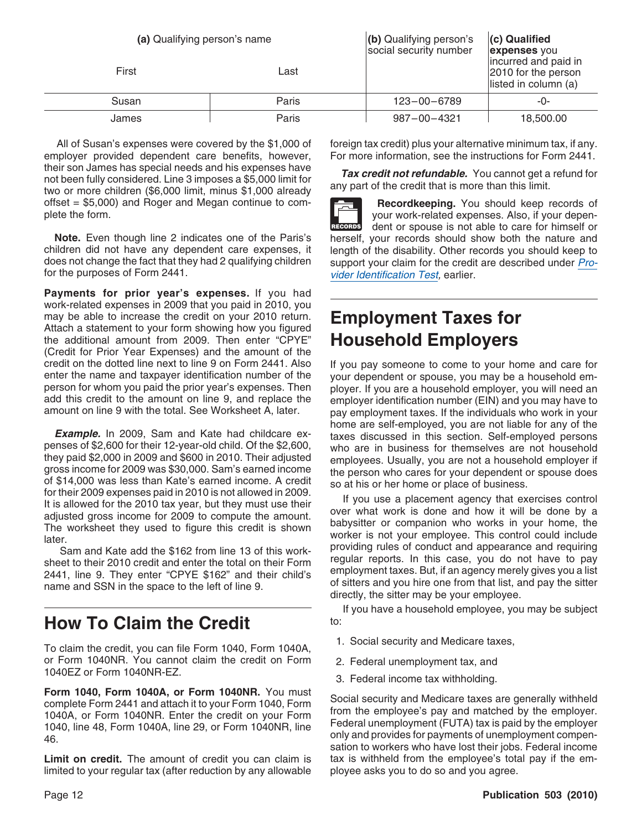| (a) Qualifying person's name<br>First | Last  | (b) Qualifying person's<br>social security number | (c) Qualified<br>expenses you<br>incurred and paid in<br>2010 for the person<br>listed in column (a) |
|---------------------------------------|-------|---------------------------------------------------|------------------------------------------------------------------------------------------------------|
| Susan                                 | Paris | 123-00-6789                                       | -0-                                                                                                  |
| James                                 | Paris | $987 - 00 - 4321$                                 | 18,500.00                                                                                            |

employer provided dependent care benefits, however, For more information, see the instructions for Form 2441. their son James has special needs and his expenses have<br>not been fully considered. Line 3 imposes a \$5,000 limit for<br>two or more children (\$6,000 limit, minus \$1,000 already any part of the credit that is more than this l offset = \$5,000) and Roger and Megan continue to com- **Recordkeeping.** You should keep records of plete the form. The form is a set of the form is a set of the form in the form is a set of the form in the form is  $\blacksquare$  your work-related expenses. Also, if your depen-

children did not have any dependent care expenses, it length of the disability. Other records you should keep to does not change the fact that they had 2 qualifying children support your claim for the credit are described does not change the fact that they had 2 qualifying children support your claim for the credit are described under Pro-<br>for the purposes of Form 2441.

**Payments for prior year's expenses.** If you had work-related expenses in 2009 that you paid in 2010, you may be able to increase the credit on your 2010 return. **Employment Taxes for** Attach a statement to your form showing how you figured the additional amount from 2009. Then enter "CPYE" **Household Employers** (Credit for Prior Year Expenses) and the amount of the credit on the dotted line next to line 9 on Form 2441. Also If you pay someone to come to your home and care for<br>enter the name and taxpayer identification number of the your dependent or spouse, you may be a household ementer the name and taxpayer identification number of the your dependent or spouse, you may be a household em-<br>person for whom you paid the prior year's expenses. Then ployer, if you are a household employer, you will need person for whom you paid the prior year's expenses. Then ployer. If you are a household employer, you will need an<br>add this credit to the amount on line 9, and replace the employer identification number (FIN) and you may h

## **How To Claim the Credit** to:

1. Social security and Medicare taxes, To claim the credit, you can file Form 1040, Form 1040A, or Form 1040NR. You cannot claim the credit on Form 2. Federal unemployment tax, and<br>1040EZ or Form 1040NR-EZ.

Form 1040, Form 1040A, or Form 1040NR. You must<br>complete Form 2441 and attach it to your Form 1040, Form<br>1040A, or Form 1040NR. Enter the credit on your Form from the employee's pay and matched by the employer.<br>1040, line

Limit on credit. The amount of credit you can claim is tax is withheld from the employee's total pay if the emlimited to your regular tax (after reduction by any allowable ployee asks you to do so and you agree.

All of Susan's expenses were covered by the \$1,000 of foreign tax credit) plus your alternative minimum tax, if any.

dent or spouse is not able to care for himself or **Note.** Even though line 2 indicates one of the Paris's herself, your records should show both the nature and vider Identification Test, earlier.

add this credit to the amount on line 9, and replace the employer identification number (EIN) and you may have to<br>amount on line 9 with the total. See Worksheet A, later. pay employment taxes. If the individuals who work i **Example.** In 2009, Sam and Kate had childcare ex-<br>penses of \$2,600 for their 12-year-old child. Of the \$2,600,<br>they paid \$2,000 in 2009 and \$600 in 2010. Their adjusted<br>moloyees I Isually you are not a bousehold employer

they paid \$2,000 in 2009 and \$600 in 2010. Their adjusted<br>grops income for 2009 was \$30,000. Sam's earned income<br>of \$14,000 was less than Kate's earned income. A credit<br>for their 2009 sexpenses paid in 2010 is not allowed

If you have a household employee, you may be subject

- 
- 
- 3. Federal income tax withholding.

sation to workers who have lost their jobs. Federal income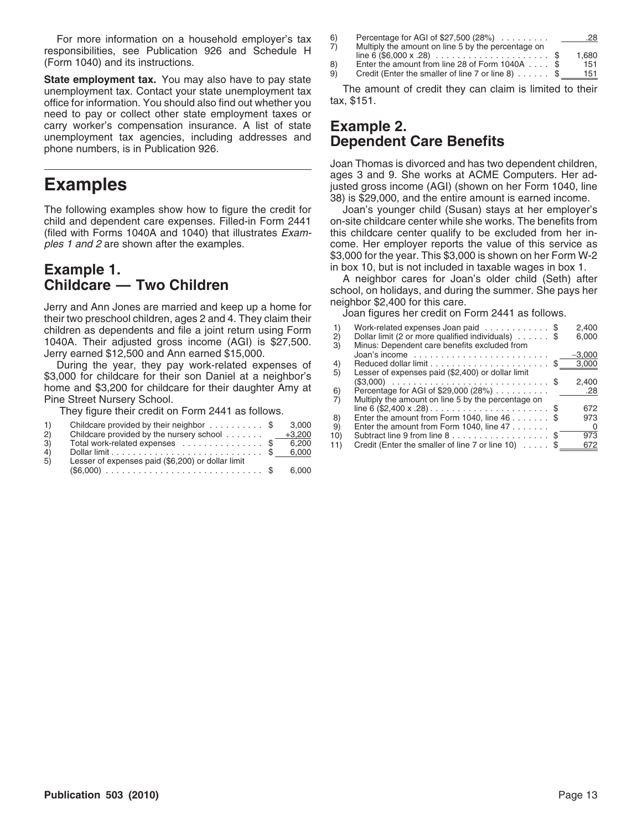For more information on a household employer's tax responsibilities, see Publication 926 and Schedule H <sup>2</sup><br>5<br>5

State employment tax. You may also have to pay state<br>unemployment tax. Contact your state unemployment tax. The amount of credit they can claim is limited to their unemployment tax. Contact your state unemployment tax The amount of credit the can claim is limited to the control of the amount of can claim is limited to the control of the can claim is limited to the can claim in the c office for information. You should also find out whether you need to pay or collect other state employment taxes or carry worker's compensation insurance. A list of state **Example 2.** unemployment tax agencies, including addresses and **Dependent Care Benefits** phone numbers, is in Publication 926.

The following examples show how to figure the credit for Joan's younger child (Susan) stays at her employer's child and dependent care expenses. Filled-in Form 2441 on-site childcare center while she works. The benefits from (filed with Forms 1040A and 1040) that illustrates Exam-<br>this childcare center quality to be excluded from her inples 1 and 2 are shown after the examples. come. Her employer reports the value of this service as

# **Example 1.** In box 10, but is not included in taxable wages in box 1.<br>
A neighbor cares for Joan's older child (Seth) after<br> **Childcare — Two Children Children Share and during the summary Changis box**

Jerry and Ann Jones are married and keep up a home for<br>their two preschool children, ages 2 and 4. They claim their<br>children as dependents and file a joint return using Form<br>1) Work-related expenses Joan paid ............ Jerry earned \$12,500 and Ann earned \$15,000.

During the year, they pay work-related expenses of \$3,000 for childcare for their son Daniel at a neighbor's home and \$3,200 for childcare for their daughter Amy at Pine Street Nursery School.

They figure their credit on Form 2441 as follows.

| 3)<br>4) | Childcare provided by their neighbor $\ldots \ldots \ldots$ \$ 3,000<br>Childcare provided by the nursery school $\ldots \ldots$ $+3,200$<br>Total work-related expenses  \$ | 6.200 | $\sim$ | — INVINIV WINVUIN IIVIII IVIIII IVIVI IIIIVI VIII IVIIII IVIII<br>9) Enter the amount from Form 1040. line $47, \ldots,$<br>10) Subtract line 9 from line 8 $\ldots$ $\ldots$ $\ldots$ $\ldots$ $\ldots$ \$<br>11) Credit (Enter the smaller of line 7 or line 10)  \$ 672 | - - -<br>973 |
|----------|------------------------------------------------------------------------------------------------------------------------------------------------------------------------------|-------|--------|----------------------------------------------------------------------------------------------------------------------------------------------------------------------------------------------------------------------------------------------------------------------------|--------------|
| 5)       | Lesser of expenses paid (\$6,200) or dollar limit                                                                                                                            |       |        |                                                                                                                                                                                                                                                                            |              |

| 3) | Percentage for AGI of \$27,500 (28%) ______                         | .28   |
|----|---------------------------------------------------------------------|-------|
|    | Multiply the amount on line 5 by the percentage on                  |       |
|    | line 6 (\$6,000 x .28) $\ldots$ \$                                  | 1,680 |
| 3) | Enter the amount from line 28 of Form $1040A$ \$                    | 151   |
| 9) | Credit (Enter the smaller of line 7 or line 8) $\dots$ . $\dots$ \$ | 151   |
|    |                                                                     |       |

Joan Thomas is divorced and has two dependent children, **Examples** ages 3 and 9. She works at ACME Computers. Her ad-<br>justed gross income (AGI) (shown on her Form 1040, line 38) is \$29,000, and the entire amount is earned income.

\$3,000 for the year. This \$3,000 is shown on her Form W-2

school, on holidays, and during the summer. She pays her

| 1)  | Work-related expenses Joan paid $\ldots \ldots \ldots$ \$          | 2,400    |
|-----|--------------------------------------------------------------------|----------|
| 2)  | Dollar limit (2 or more qualified individuals) $\dots \dots$ \$    | 6,000    |
| 3)  | Minus: Dependent care benefits excluded from                       |          |
|     | Joan's income $\ldots \ldots \ldots \ldots \ldots \ldots \ldots$   | $-3,000$ |
| 4)  |                                                                    | 3,000    |
| 5)  | Lesser of expenses paid (\$2,400) or dollar limit                  |          |
|     |                                                                    | 2,400    |
| 6)  | Percentage for AGI of \$29,000 (28%)                               | .28      |
| 7)  | Multiply the amount on line 5 by the percentage on                 |          |
|     | line 6 (\$2,400 x .28) $\ldots \ldots \ldots \ldots \ldots \ldots$ | 672      |
| 8)  | Enter the amount from Form 1040, line $46 \ldots$ \$               | 973      |
| 9)  | Enter the amount from Form 1040, line $47$                         |          |
| 10) | Subtract line 9 from line 8 \$                                     | 973      |
| 11) | Credit (Enter the smaller of line 7 or line 10) $\ldots$ \$        | 672      |
|     |                                                                    |          |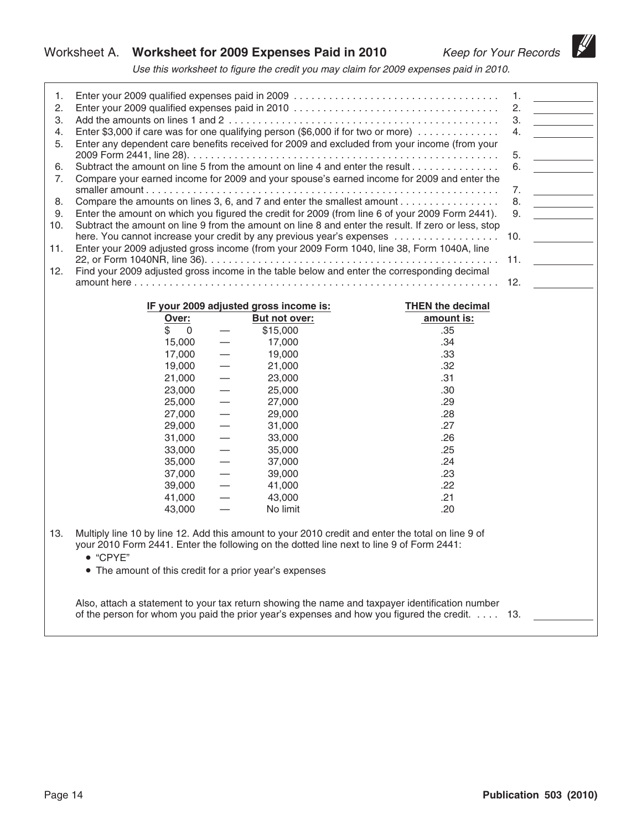# Worksheet A. **Worksheet for 2009 Expenses Paid in 2010** Keep for Your Records



Use this worksheet to figure the credit you may claim for 2009 expenses paid in 2010.

| 1.  |                                                                                              |                          |                                        |                                                                                                     | 1.  |  |  |  |
|-----|----------------------------------------------------------------------------------------------|--------------------------|----------------------------------------|-----------------------------------------------------------------------------------------------------|-----|--|--|--|
| 2.  | 2.                                                                                           |                          |                                        |                                                                                                     |     |  |  |  |
| 3.  | 3.<br><u> 1999 - Albert Store</u>                                                            |                          |                                        |                                                                                                     |     |  |  |  |
| 4.  | Enter \$3,000 if care was for one qualifying person (\$6,000 if for two or more)<br>4.       |                          |                                        |                                                                                                     |     |  |  |  |
| 5.  | Enter any dependent care benefits received for 2009 and excluded from your income (from your |                          |                                        |                                                                                                     |     |  |  |  |
|     |                                                                                              |                          |                                        |                                                                                                     | 5.  |  |  |  |
| 6.  |                                                                                              |                          |                                        | Subtract the amount on line 5 from the amount on line 4 and enter the result                        | 6.  |  |  |  |
| 7.  |                                                                                              |                          |                                        | Compare your earned income for 2009 and your spouse's earned income for 2009 and enter the          | 7.  |  |  |  |
| 8.  |                                                                                              |                          |                                        | Compare the amounts on lines 3, 6, and 7 and enter the smallest amount                              | 8.  |  |  |  |
| 9.  |                                                                                              |                          |                                        | Enter the amount on which you figured the credit for 2009 (from line 6 of your 2009 Form 2441).     | 9.  |  |  |  |
| 10. |                                                                                              |                          |                                        | Subtract the amount on line 9 from the amount on line 8 and enter the result. If zero or less, stop |     |  |  |  |
|     |                                                                                              |                          |                                        | here. You cannot increase your credit by any previous year's expenses                               | 10. |  |  |  |
| 11. |                                                                                              |                          |                                        | Enter your 2009 adjusted gross income (from your 2009 Form 1040, line 38, Form 1040A, line          |     |  |  |  |
|     |                                                                                              |                          |                                        |                                                                                                     | 11. |  |  |  |
| 12. |                                                                                              |                          |                                        | Find your 2009 adjusted gross income in the table below and enter the corresponding decimal         |     |  |  |  |
|     |                                                                                              |                          |                                        |                                                                                                     | 12. |  |  |  |
|     |                                                                                              |                          |                                        |                                                                                                     |     |  |  |  |
|     |                                                                                              |                          | IF your 2009 adjusted gross income is: | <b>THEN the decimal</b>                                                                             |     |  |  |  |
|     | Over:<br>\$                                                                                  |                          | But not over:                          | amount is:                                                                                          |     |  |  |  |
|     | $\mathsf{O}$                                                                                 |                          | \$15,000                               | .35                                                                                                 |     |  |  |  |
|     | 15,000                                                                                       |                          | 17,000                                 | .34                                                                                                 |     |  |  |  |
|     | 17,000                                                                                       |                          | 19,000                                 | .33                                                                                                 |     |  |  |  |
|     | 19,000                                                                                       |                          | 21,000                                 | .32                                                                                                 |     |  |  |  |
|     | 21,000                                                                                       |                          | 23,000                                 | .31                                                                                                 |     |  |  |  |
|     | 23,000                                                                                       |                          | 25,000                                 | .30                                                                                                 |     |  |  |  |
|     | 25,000                                                                                       |                          | 27,000                                 | .29                                                                                                 |     |  |  |  |
|     | 27,000                                                                                       |                          | 29,000                                 | .28                                                                                                 |     |  |  |  |
|     | 29,000                                                                                       |                          | 31,000                                 | .27                                                                                                 |     |  |  |  |
|     | 31,000                                                                                       |                          | 33,000                                 | .26                                                                                                 |     |  |  |  |
|     | 33,000                                                                                       |                          | 35,000                                 | .25                                                                                                 |     |  |  |  |
|     | 35,000                                                                                       |                          | 37,000                                 | .24                                                                                                 |     |  |  |  |
|     | 37,000                                                                                       |                          | 39,000                                 | .23                                                                                                 |     |  |  |  |
|     |                                                                                              |                          |                                        | .22                                                                                                 |     |  |  |  |
|     | 39,000                                                                                       |                          | 41,000                                 |                                                                                                     |     |  |  |  |
|     | 41,000                                                                                       | $\overline{\phantom{0}}$ | 43,000                                 | .21                                                                                                 |     |  |  |  |
|     | 43,000                                                                                       |                          | No limit                               | .20                                                                                                 |     |  |  |  |
| 13. |                                                                                              |                          |                                        | Multiply line 10 by line 12. Add this amount to your 2010 credit and enter the total on line 9 of   |     |  |  |  |
|     | your 2010 Form 2441. Enter the following on the dotted line next to line 9 of Form 2441:     |                          |                                        |                                                                                                     |     |  |  |  |
|     | • "CPYE"                                                                                     |                          |                                        |                                                                                                     |     |  |  |  |
|     |                                                                                              |                          |                                        |                                                                                                     |     |  |  |  |
|     | • The amount of this credit for a prior year's expenses                                      |                          |                                        |                                                                                                     |     |  |  |  |
|     |                                                                                              |                          |                                        |                                                                                                     |     |  |  |  |
|     |                                                                                              |                          |                                        | Also, attach a statement to your tax return showing the name and taxpayer identification number     |     |  |  |  |
|     |                                                                                              |                          |                                        | of the person for whom you paid the prior year's expenses and how you figured the credit. 13.       |     |  |  |  |
|     |                                                                                              |                          |                                        |                                                                                                     |     |  |  |  |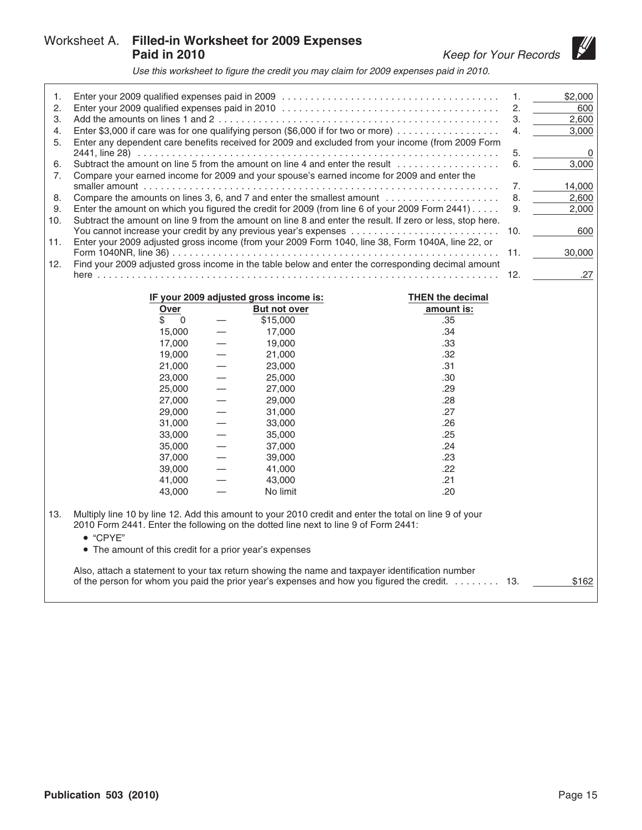## Worksheet A. **Filled-in Worksheet for 2009 Expenses**



Use this worksheet to figure the credit you may claim for 2009 expenses paid in 2010.

| 1.  |                                                                                                         |                                        |                                                                                                                                                                                                  | 1.  | \$2,000 |
|-----|---------------------------------------------------------------------------------------------------------|----------------------------------------|--------------------------------------------------------------------------------------------------------------------------------------------------------------------------------------------------|-----|---------|
| 2.  |                                                                                                         | 2.                                     | 600                                                                                                                                                                                              |     |         |
| 3.  |                                                                                                         |                                        |                                                                                                                                                                                                  | 3.  | 2,600   |
| 4.  |                                                                                                         |                                        | Enter \$3,000 if care was for one qualifying person (\$6,000 if for two or more)                                                                                                                 | 4.  | 3,000   |
| 5.  |                                                                                                         |                                        | Enter any dependent care benefits received for 2009 and excluded from your income (from 2009 Form                                                                                                | 5.  | 0       |
| 6.  |                                                                                                         |                                        | Subtract the amount on line 5 from the amount on line 4 and enter the result                                                                                                                     | 6.  | 3,000   |
| 7.  |                                                                                                         |                                        | Compare your earned income for 2009 and your spouse's earned income for 2009 and enter the                                                                                                       |     |         |
|     |                                                                                                         |                                        |                                                                                                                                                                                                  | 7.  | 14,000  |
| 8.  |                                                                                                         |                                        | Compare the amounts on lines 3, 6, and 7 and enter the smallest amount                                                                                                                           | 8.  | 2,600   |
| 9.  |                                                                                                         |                                        | Enter the amount on which you figured the credit for 2009 (from line 6 of your 2009 Form 2441)                                                                                                   | 9.  | 2,000   |
| 10. |                                                                                                         |                                        | Subtract the amount on line 9 from the amount on line 8 and enter the result. If zero or less, stop here.                                                                                        |     |         |
|     |                                                                                                         |                                        | You cannot increase your credit by any previous year's expenses                                                                                                                                  | 10. | 600     |
| 11. |                                                                                                         |                                        | Enter your 2009 adjusted gross income (from your 2009 Form 1040, line 38, Form 1040A, line 22, or                                                                                                |     |         |
|     |                                                                                                         |                                        |                                                                                                                                                                                                  | 11. | 30,000  |
| 12. |                                                                                                         |                                        | Find your 2009 adjusted gross income in the table below and enter the corresponding decimal amount                                                                                               |     |         |
|     |                                                                                                         |                                        |                                                                                                                                                                                                  | 12. | .27     |
|     |                                                                                                         |                                        |                                                                                                                                                                                                  |     |         |
|     |                                                                                                         | IF your 2009 adjusted gross income is: | <b>THEN the decimal</b>                                                                                                                                                                          |     |         |
|     | Over                                                                                                    | But not over                           | amount is:                                                                                                                                                                                       |     |         |
|     | \$<br>$\mathbf 0$                                                                                       | \$15,000                               | .35                                                                                                                                                                                              |     |         |
|     | 15,000                                                                                                  | 17,000                                 | .34                                                                                                                                                                                              |     |         |
|     | 17,000                                                                                                  | 19,000                                 | .33                                                                                                                                                                                              |     |         |
|     | 19,000                                                                                                  | 21,000                                 | .32                                                                                                                                                                                              |     |         |
|     | 21,000                                                                                                  | 23,000                                 | .31                                                                                                                                                                                              |     |         |
|     | 23,000                                                                                                  | 25,000                                 | .30                                                                                                                                                                                              |     |         |
|     | 25,000                                                                                                  | 27,000                                 | .29                                                                                                                                                                                              |     |         |
|     | 27,000                                                                                                  | 29,000                                 | .28                                                                                                                                                                                              |     |         |
|     | 29,000                                                                                                  | 31,000                                 | .27                                                                                                                                                                                              |     |         |
|     | 31,000                                                                                                  | 33,000                                 | .26                                                                                                                                                                                              |     |         |
|     | 33,000                                                                                                  | 35,000                                 | .25                                                                                                                                                                                              |     |         |
|     | 35,000                                                                                                  | 37,000                                 | .24                                                                                                                                                                                              |     |         |
|     | 37,000                                                                                                  | 39,000                                 | .23                                                                                                                                                                                              |     |         |
|     | 39,000                                                                                                  | 41,000                                 | .22                                                                                                                                                                                              |     |         |
|     | 41,000                                                                                                  | 43,000                                 | .21                                                                                                                                                                                              |     |         |
|     | 43,000                                                                                                  | No limit                               | .20                                                                                                                                                                                              |     |         |
|     |                                                                                                         |                                        |                                                                                                                                                                                                  |     |         |
| 13. | 2010 Form 2441. Enter the following on the dotted line next to line 9 of Form 2441:<br>$\bullet$ "CPYE" |                                        | Multiply line 10 by line 12. Add this amount to your 2010 credit and enter the total on line 9 of your                                                                                           |     |         |
|     | • The amount of this credit for a prior year's expenses                                                 |                                        |                                                                                                                                                                                                  |     |         |
|     |                                                                                                         |                                        |                                                                                                                                                                                                  |     |         |
|     |                                                                                                         |                                        | Also, attach a statement to your tax return showing the name and taxpayer identification number<br>of the person for whom you paid the prior year's expenses and how you figured the credit. 13. |     |         |
|     |                                                                                                         |                                        |                                                                                                                                                                                                  |     | \$162   |
|     |                                                                                                         |                                        |                                                                                                                                                                                                  |     |         |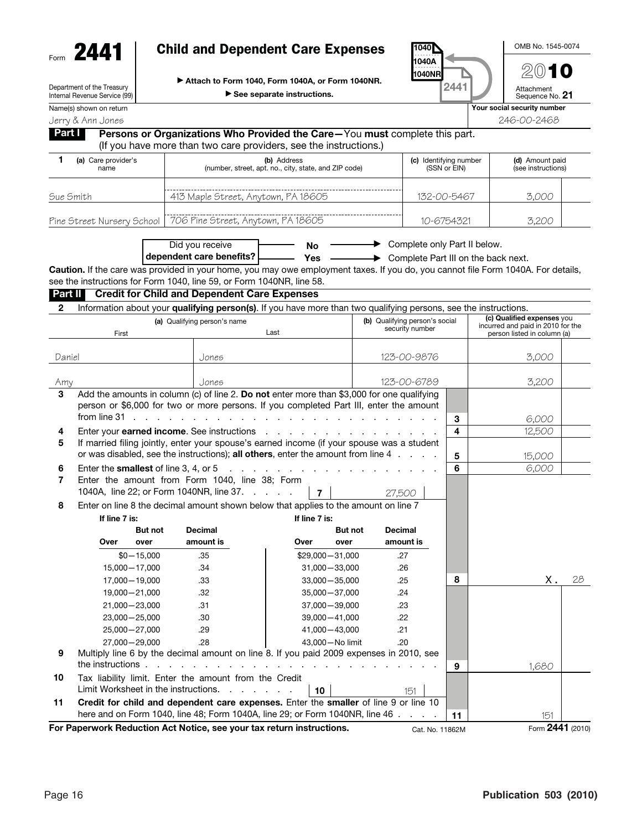|      | ЛИ |  |
|------|----|--|
| Form |    |  |

## **Child and Dependent Care Expenses**

▶ Attach to Form 1040, Form 1040A, or Form 1040NR.

 $\blacktriangleright$  **See separate instructions.** 

Department of the Treasury Internal Revenue Service (99)

**2441** Attachment Sequence No. **21** Name(s) shown on return **Your social security number Your social security number** Jerry & Ann Jones 246-00-2468

OMB No. 1545-0074

20**10**

1040A . . . . . . . . . . **1040** 

**1040NR** 

**Part I** Persons or Organizations Who Provided the Care-You must complete this part. (If you have more than two care providers, see the instructions.)

| (a) Care provider's<br>name | (b) Address<br>(number, street, apt. no., city, state, and ZIP code) | (c) Identifying number<br>(SSN or EIN) | (d) Amount paid<br>(see instructions) |
|-----------------------------|----------------------------------------------------------------------|----------------------------------------|---------------------------------------|
| Sue Smith                   | 413 Maple Street, Anytown, PA 18605                                  | 132-00-5467                            | 3.000                                 |
| Pine Street Nursery School  | 706 Pine Street, Anytown, PA 18605                                   | 10-6754321                             | 3,200                                 |

| Did you receive             | Nc  | $\rightarrow$ Complete only Part II below. |
|-----------------------------|-----|--------------------------------------------|
| -lenendent care henefits? l | v.n | Complete Dart III on the bool              |

**dependent care benefits? Yes a** Complete Part III on the back next. **Caution.** If the care was provided in your home, you may owe employment taxes. If you do, you cannot file Form 1040A. For details, see the instructions for Form 1040, line 59, or Form 1040NR, line 58.

## **Part II Credit for Child and Dependent Care Expenses**

| $\mathbf{2}$ | Information about your qualifying person(s). If you have more than two qualifying persons, see the instructions. |                              |                                         |                |                                                   |    |                                                                 |    |  |
|--------------|------------------------------------------------------------------------------------------------------------------|------------------------------|-----------------------------------------|----------------|---------------------------------------------------|----|-----------------------------------------------------------------|----|--|
|              |                                                                                                                  | (a) Qualifying person's name |                                         |                | (b) Qualifying person's social<br>security number |    | (c) Qualified expenses you<br>incurred and paid in 2010 for the |    |  |
|              | First                                                                                                            |                              | Last                                    |                |                                                   |    | person listed in column (a)                                     |    |  |
|              |                                                                                                                  |                              |                                         |                |                                                   |    |                                                                 |    |  |
| Daniel       |                                                                                                                  | Jones                        |                                         |                | 123-00-9876                                       |    | 3,000                                                           |    |  |
|              |                                                                                                                  |                              |                                         |                |                                                   |    |                                                                 |    |  |
| Amy          |                                                                                                                  | Jones                        |                                         |                | 123-00-6789                                       |    | 3,200                                                           |    |  |
| 3            | Add the amounts in column (c) of line 2. Do not enter more than \$3,000 for one qualifying                       |                              |                                         |                |                                                   |    |                                                                 |    |  |
|              | person or \$6,000 for two or more persons. If you completed Part III, enter the amount                           |                              |                                         |                |                                                   |    |                                                                 |    |  |
|              | from line 31                                                                                                     |                              |                                         |                |                                                   | 3  | 6,000                                                           |    |  |
| 4            | Enter your earned income. See instructions                                                                       |                              | and the contract of the contract of the |                |                                                   | 4  | 12,500                                                          |    |  |
| 5            | If married filing jointly, enter your spouse's earned income (if your spouse was a student                       |                              |                                         |                |                                                   |    |                                                                 |    |  |
|              | or was disabled, see the instructions); all others, enter the amount from line $4 \ldots$                        |                              |                                         |                |                                                   | 5  | 15,000                                                          |    |  |
| 6            | Enter the <b>smallest</b> of line 3, 4, or 5                                                                     |                              | the contract of the contract of         |                |                                                   | 6  | 6,000                                                           |    |  |
| 7            | Enter the amount from Form 1040, line 38; Form                                                                   |                              |                                         |                |                                                   |    |                                                                 |    |  |
|              | 1040A, line 22; or Form 1040NR, line 37.                                                                         |                              | $\overline{7}$                          |                | 27.500                                            |    |                                                                 |    |  |
| 8            | Enter on line 8 the decimal amount shown below that applies to the amount on line 7                              |                              |                                         |                |                                                   |    |                                                                 |    |  |
|              | If line 7 is:                                                                                                    |                              | If line 7 is:                           |                |                                                   |    |                                                                 |    |  |
|              | <b>But not</b>                                                                                                   | <b>Decimal</b>               |                                         | <b>But not</b> | <b>Decimal</b>                                    |    |                                                                 |    |  |
|              | Over<br>over                                                                                                     | amount is                    | Over<br>over                            |                | amount is                                         |    |                                                                 |    |  |
|              | $$0 - 15,000$                                                                                                    | .35                          | $$29,000 - 31,000$                      |                | .27                                               |    |                                                                 |    |  |
|              | 15,000 - 17,000                                                                                                  | .34                          | 31,000 - 33,000                         |                | .26                                               |    |                                                                 |    |  |
|              | 17,000 - 19,000                                                                                                  | .33                          | 33,000 - 35,000                         |                | .25                                               | 8  | Χ.                                                              | 28 |  |
|              | 19,000 - 21,000                                                                                                  | .32                          | 35,000 - 37,000                         |                | .24                                               |    |                                                                 |    |  |
|              | 21,000 - 23,000                                                                                                  | .31                          | 37,000 - 39,000                         |                | .23                                               |    |                                                                 |    |  |
|              | 23,000 - 25,000                                                                                                  | .30                          | 39,000 - 41,000                         |                | .22                                               |    |                                                                 |    |  |
|              | 25,000 - 27,000                                                                                                  | .29                          | 41,000 - 43,000                         |                | .21                                               |    |                                                                 |    |  |
|              | 27,000 - 29,000                                                                                                  | .28                          | 43,000-No limit                         |                | .20                                               |    |                                                                 |    |  |
| 9            | Multiply line 6 by the decimal amount on line 8. If you paid 2009 expenses in 2010, see                          |                              |                                         |                |                                                   |    |                                                                 |    |  |
|              | the instructions.                                                                                                |                              |                                         |                |                                                   | 9  | 1,680                                                           |    |  |
| 10           | Tax liability limit. Enter the amount from the Credit                                                            |                              |                                         |                |                                                   |    |                                                                 |    |  |
|              | Limit Worksheet in the instructions.                                                                             |                              | 10                                      |                | 151                                               |    |                                                                 |    |  |
| 11           | Credit for child and dependent care expenses. Enter the smaller of line 9 or line 10                             |                              |                                         |                |                                                   |    |                                                                 |    |  |
|              | here and on Form 1040, line 48; Form 1040A, line 29; or Form 1040NR, line 46.                                    |                              |                                         |                |                                                   | 11 | 151                                                             |    |  |
|              | For Paperwork Reduction Act Notice, see your tax return instructions.                                            |                              |                                         |                | Cat. No. 11862M                                   |    | Form 2441 (2010)                                                |    |  |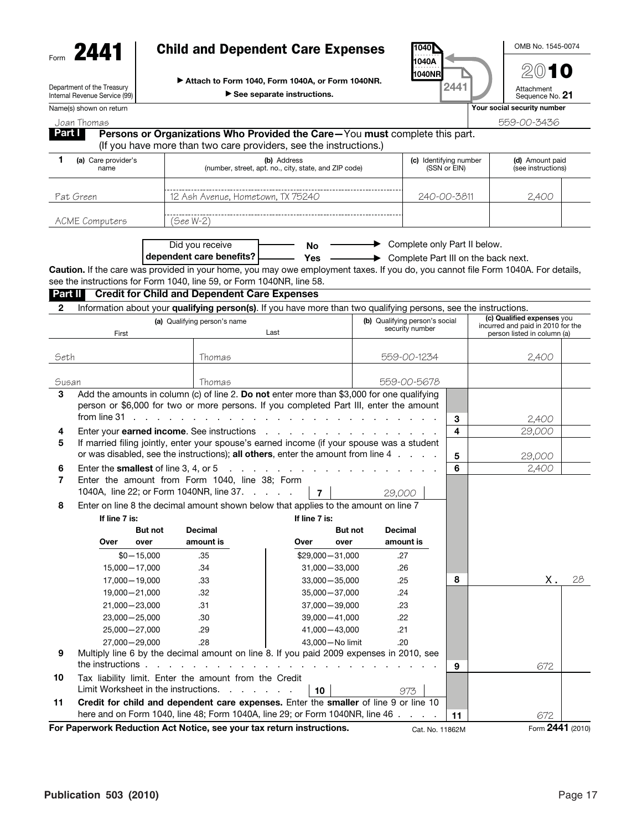|              | 2441                                                        |                       |                                                                                                                                                                             | <b>Child and Dependent Care Expenses</b>                                                                                                                                                                                                                                                          |                                  | 1040                                              |        | OMB No. 1545-0074                                                                              |                  |
|--------------|-------------------------------------------------------------|-----------------------|-----------------------------------------------------------------------------------------------------------------------------------------------------------------------------|---------------------------------------------------------------------------------------------------------------------------------------------------------------------------------------------------------------------------------------------------------------------------------------------------|----------------------------------|---------------------------------------------------|--------|------------------------------------------------------------------------------------------------|------------------|
|              |                                                             |                       |                                                                                                                                                                             | Attach to Form 1040, Form 1040A, or Form 1040NR.                                                                                                                                                                                                                                                  |                                  | 1040A<br>1040NR                                   |        |                                                                                                |                  |
|              | Department of the Treasury<br>Internal Revenue Service (99) |                       |                                                                                                                                                                             | See separate instructions.                                                                                                                                                                                                                                                                        |                                  |                                                   | 244    | Attachment<br>Sequence No. 21                                                                  |                  |
|              | Name(s) shown on return                                     |                       |                                                                                                                                                                             |                                                                                                                                                                                                                                                                                                   |                                  |                                                   |        | Your social security number                                                                    |                  |
|              | Joan Thomas                                                 |                       |                                                                                                                                                                             |                                                                                                                                                                                                                                                                                                   |                                  |                                                   |        | 559-00-3436                                                                                    |                  |
| Part I       |                                                             |                       |                                                                                                                                                                             | Persons or Organizations Who Provided the Care-You must complete this part.<br>(If you have more than two care providers, see the instructions.)                                                                                                                                                  |                                  |                                                   |        |                                                                                                |                  |
| 1            | (a) Care provider's<br>name                                 |                       |                                                                                                                                                                             | (b) Address<br>(number, street, apt. no., city, state, and ZIP code)                                                                                                                                                                                                                              |                                  | (c) Identifying number<br>(SSN or EIN)            |        | (d) Amount paid<br>(see instructions)                                                          |                  |
|              | Pat Green                                                   |                       | 12 Ash Avenue, Hometown, TX 75240                                                                                                                                           |                                                                                                                                                                                                                                                                                                   |                                  | 240-00-3811                                       |        | 2,400                                                                                          |                  |
|              | <b>ACME Computers</b>                                       |                       | $(See W-2)$                                                                                                                                                                 |                                                                                                                                                                                                                                                                                                   |                                  |                                                   |        |                                                                                                |                  |
| Part II      |                                                             |                       | Did you receive<br>dependent care benefits?<br>see the instructions for Form 1040, line 59, or Form 1040NR, line 58.<br><b>Credit for Child and Dependent Care Expenses</b> | No<br><b>Yes</b><br>Caution. If the care was provided in your home, you may owe employment taxes. If you do, you cannot file Form 1040A. For details,                                                                                                                                             | ▸                                | Complete only Part II below.                      |        | Complete Part III on the back next.                                                            |                  |
| $\mathbf{2}$ |                                                             |                       |                                                                                                                                                                             | Information about your qualifying person(s). If you have more than two qualifying persons, see the instructions.                                                                                                                                                                                  |                                  |                                                   |        |                                                                                                |                  |
|              | First                                                       |                       | (a) Qualifying person's name                                                                                                                                                | Last                                                                                                                                                                                                                                                                                              |                                  | (b) Qualifying person's social<br>security number |        | (c) Qualified expenses you<br>incurred and paid in 2010 for the<br>person listed in column (a) |                  |
| Seth         |                                                             |                       | Thomas                                                                                                                                                                      |                                                                                                                                                                                                                                                                                                   |                                  | 559-00-1234                                       |        | 2,400                                                                                          |                  |
| <b>Susan</b> |                                                             |                       | Thomas                                                                                                                                                                      |                                                                                                                                                                                                                                                                                                   |                                  | 559-00-5678                                       |        |                                                                                                |                  |
| 3            | from line 31                                                |                       |                                                                                                                                                                             | Add the amounts in column (c) of line 2. Do not enter more than \$3,000 for one qualifying<br>person or \$6,000 for two or more persons. If you completed Part III, enter the amount                                                                                                              |                                  |                                                   | 3      | 2,400                                                                                          |                  |
| 4<br>5       |                                                             |                       | Enter your earned income. See instructions                                                                                                                                  | the contract of the contract of the contract of the contract of the contract of the contract of the contract of<br>If married filing jointly, enter your spouse's earned income (if your spouse was a student<br>or was disabled, see the instructions); all others, enter the amount from line 4 |                                  |                                                   | 4<br>5 | 29,000<br>29,000                                                                               |                  |
| 6<br>7       | Enter the <b>smallest</b> of line 3, 4, or 5                |                       | Enter the amount from Form 1040, line 38; Form<br>1040A, line 22; or Form 1040NR, line 37.                                                                                  | and a strain and a strain and<br>$\overline{7}$                                                                                                                                                                                                                                                   | 29,000                           |                                                   | 6      | 2,400                                                                                          |                  |
| 8            | If line 7 is:                                               |                       |                                                                                                                                                                             | Enter on line 8 the decimal amount shown below that applies to the amount on line 7<br>If line 7 is:                                                                                                                                                                                              |                                  |                                                   |        |                                                                                                |                  |
|              |                                                             | <b>But not</b>        | <b>Decimal</b>                                                                                                                                                              |                                                                                                                                                                                                                                                                                                   | <b>Decimal</b><br><b>But not</b> |                                                   |        |                                                                                                |                  |
|              | Over                                                        | over<br>$$0 - 15,000$ | amount is                                                                                                                                                                   | Over<br>over<br>$$29,000 - 31,000$                                                                                                                                                                                                                                                                |                                  | amount is                                         |        |                                                                                                |                  |
|              | 15,000 - 17,000                                             |                       | .35<br>.34                                                                                                                                                                  | 31,000 - 33,000                                                                                                                                                                                                                                                                                   |                                  | .27<br>.26                                        |        |                                                                                                |                  |
|              | 17,000 - 19,000                                             |                       | .33                                                                                                                                                                         | 33,000 - 35,000                                                                                                                                                                                                                                                                                   |                                  | .25                                               | 8      | Χ.                                                                                             | 28               |
|              | 19,000 - 21,000                                             |                       | .32                                                                                                                                                                         | 35,000 - 37,000                                                                                                                                                                                                                                                                                   |                                  | .24                                               |        |                                                                                                |                  |
|              | 21,000 - 23,000                                             |                       | .31                                                                                                                                                                         | 37,000 - 39,000                                                                                                                                                                                                                                                                                   |                                  | .23                                               |        |                                                                                                |                  |
|              | 23,000 - 25,000                                             |                       | .30                                                                                                                                                                         | 39,000 - 41,000                                                                                                                                                                                                                                                                                   |                                  | .22                                               |        |                                                                                                |                  |
|              | 25,000 - 27,000                                             |                       | .29                                                                                                                                                                         | 41,000 - 43,000                                                                                                                                                                                                                                                                                   |                                  | .21                                               |        |                                                                                                |                  |
| 9            | 27,000 - 29,000                                             |                       | .28                                                                                                                                                                         | 43,000-No limit<br>Multiply line 6 by the decimal amount on line 8. If you paid 2009 expenses in 2010, see                                                                                                                                                                                        |                                  | .20                                               |        |                                                                                                |                  |
| 10           | the instructions.                                           |                       | Tax liability limit. Enter the amount from the Credit<br>Limit Worksheet in the instructions.                                                                               | the contract of the contract of                                                                                                                                                                                                                                                                   |                                  |                                                   | 9      | 672                                                                                            |                  |
| 11           |                                                             |                       |                                                                                                                                                                             | 10 <sup>1</sup><br>Credit for child and dependent care expenses. Enter the smaller of line 9 or line 10                                                                                                                                                                                           |                                  | 973                                               |        |                                                                                                |                  |
|              |                                                             |                       |                                                                                                                                                                             | here and on Form 1040, line 48; Form 1040A, line 29; or Form 1040NR, line 46.<br>For Paperwork Reduction Act Notice, see your tax return instructions.                                                                                                                                            |                                  | <b>Contractor</b><br>Cat. No. 11862M              | 11     | 672                                                                                            | Form 2441 (2010) |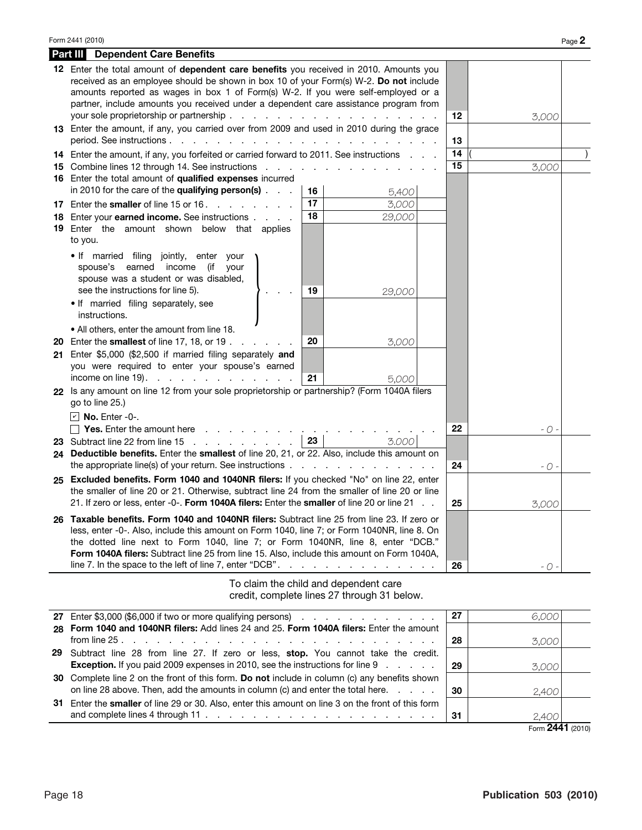|    | Form 2441 (2010)                                                                                                                                                                                                                                                                                                                                                                                                                                 |    |                                                                                      |       | Page 2 |
|----|--------------------------------------------------------------------------------------------------------------------------------------------------------------------------------------------------------------------------------------------------------------------------------------------------------------------------------------------------------------------------------------------------------------------------------------------------|----|--------------------------------------------------------------------------------------|-------|--------|
|    | Part III<br><b>Dependent Care Benefits</b>                                                                                                                                                                                                                                                                                                                                                                                                       |    |                                                                                      |       |        |
|    | 12 Enter the total amount of dependent care benefits you received in 2010. Amounts you<br>received as an employee should be shown in box 10 of your Form(s) W-2. Do not include<br>amounts reported as wages in box 1 of Form(s) W-2. If you were self-employed or a<br>partner, include amounts you received under a dependent care assistance program from                                                                                     |    | 12                                                                                   | 3,000 |        |
|    | 13 Enter the amount, if any, you carried over from 2009 and used in 2010 during the grace<br>period. See instructions.<br>de la caractería de la caractería de la caractería                                                                                                                                                                                                                                                                     |    |                                                                                      | 13    |        |
|    | 14 Enter the amount, if any, you forfeited or carried forward to 2011. See instructions                                                                                                                                                                                                                                                                                                                                                          |    |                                                                                      | 14    |        |
|    | 15 Combine lines 12 through 14. See instructions<br>and the company of the company of<br>16 Enter the total amount of qualified expenses incurred                                                                                                                                                                                                                                                                                                |    |                                                                                      | 15    | 3,000  |
|    | in 2010 for the care of the qualifying person(s) $\ldots$ .                                                                                                                                                                                                                                                                                                                                                                                      | 16 | 5,400                                                                                |       |        |
|    | 17 Enter the smaller of line 15 or 16.                                                                                                                                                                                                                                                                                                                                                                                                           | 17 | 3,000                                                                                |       |        |
|    | 18 Enter your earned income. See instructions<br>19 Enter the amount shown below that applies<br>to you.                                                                                                                                                                                                                                                                                                                                         | 18 | 29,000                                                                               |       |        |
|    | . If married filing jointly, enter your<br>spouse's earned income (if<br>your<br>spouse was a student or was disabled,<br>see the instructions for line 5).                                                                                                                                                                                                                                                                                      | 19 | 29,000                                                                               |       |        |
|    | . If married filing separately, see<br>instructions.                                                                                                                                                                                                                                                                                                                                                                                             |    |                                                                                      |       |        |
|    | • All others, enter the amount from line 18.                                                                                                                                                                                                                                                                                                                                                                                                     |    |                                                                                      |       |        |
|    | 20 Enter the smallest of line 17, 18, or 19.<br><b>Service</b> State                                                                                                                                                                                                                                                                                                                                                                             | 20 | 3,000                                                                                |       |        |
| 21 | Enter \$5,000 (\$2,500 if married filing separately and<br>you were required to enter your spouse's earned                                                                                                                                                                                                                                                                                                                                       |    |                                                                                      |       |        |
|    | income on line 19). $\ldots$ $\ldots$ $\ldots$ $\ldots$ $\ldots$                                                                                                                                                                                                                                                                                                                                                                                 | 21 | 5.000                                                                                |       |        |
|    | 22 Is any amount on line 12 from your sole proprietorship or partnership? (Form 1040A filers<br>go to line 25.)                                                                                                                                                                                                                                                                                                                                  |    |                                                                                      |       |        |
|    | $\boxed{\triangleright}$ No. Enter -0-.                                                                                                                                                                                                                                                                                                                                                                                                          |    |                                                                                      |       |        |
|    | Yes. Enter the amount here                                                                                                                                                                                                                                                                                                                                                                                                                       |    |                                                                                      | 22    | $-0-$  |
|    | 23 Subtract line 22 from line 15                                                                                                                                                                                                                                                                                                                                                                                                                 | 23 | 3.000                                                                                |       |        |
|    | 24 Deductible benefits. Enter the smallest of line 20, 21, or 22. Also, include this amount on                                                                                                                                                                                                                                                                                                                                                   |    |                                                                                      |       |        |
|    | the appropriate line(s) of your return. See instructions                                                                                                                                                                                                                                                                                                                                                                                         |    |                                                                                      | 24    | - 0 -  |
|    | 25 Excluded benefits. Form 1040 and 1040NR filers: If you checked "No" on line 22, enter                                                                                                                                                                                                                                                                                                                                                         |    |                                                                                      |       |        |
|    | the smaller of line 20 or 21. Otherwise, subtract line 24 from the smaller of line 20 or line                                                                                                                                                                                                                                                                                                                                                    |    |                                                                                      |       |        |
|    | 21. If zero or less, enter -0-. Form 1040A filers: Enter the smaller of line 20 or line 21                                                                                                                                                                                                                                                                                                                                                       |    |                                                                                      | 25    | 3.000  |
|    | 26 Taxable benefits. Form 1040 and 1040NR filers: Subtract line 25 from line 23. If zero or<br>less, enter -0-. Also, include this amount on Form 1040, line 7; or Form 1040NR, line 8. On<br>the dotted line next to Form 1040, line 7; or Form 1040NR, line 8, enter "DCB."<br>Form 1040A filers: Subtract line 25 from line 15. Also, include this amount on Form 1040A,<br>line 7. In the space to the left of line 7, enter "DCB". $\ldots$ |    |                                                                                      | 26    |        |
|    |                                                                                                                                                                                                                                                                                                                                                                                                                                                  |    |                                                                                      |       | - 0 -  |
|    |                                                                                                                                                                                                                                                                                                                                                                                                                                                  |    | To claim the child and dependent care<br>credit, complete lines 27 through 31 below. |       |        |
| 27 | Enter \$3,000 (\$6,000 if two or more qualifying persons)                                                                                                                                                                                                                                                                                                                                                                                        |    |                                                                                      | 27    | 6,000  |
|    | 28 Form 1040 and 1040NR filers: Add lines 24 and 25. Form 1040A filers: Enter the amount                                                                                                                                                                                                                                                                                                                                                         |    |                                                                                      |       |        |
|    | from line 25.                                                                                                                                                                                                                                                                                                                                                                                                                                    |    |                                                                                      | 28    | 3,000  |
| 29 | Subtract line 28 from line 27. If zero or less, stop. You cannot take the credit.<br><b>Exception.</b> If you paid 2009 expenses in 2010, see the instructions for line 9                                                                                                                                                                                                                                                                        |    |                                                                                      | 29    | 3,000  |
|    | 30 Complete line 2 on the front of this form. Do not include in column (c) any benefits shown                                                                                                                                                                                                                                                                                                                                                    |    |                                                                                      |       |        |

on line 28 above. Then, add the amounts in column (c) and enter the total here. . . .. **30** 

and complete lines 4 through 11 . . . . . . . . . . . . . . . . . . .. **31** 

**31** Enter the **smaller** of line 29 or 30. Also, enter this amount on line 3 on the front of this form

Form **2441** (2010)

2,400

2,400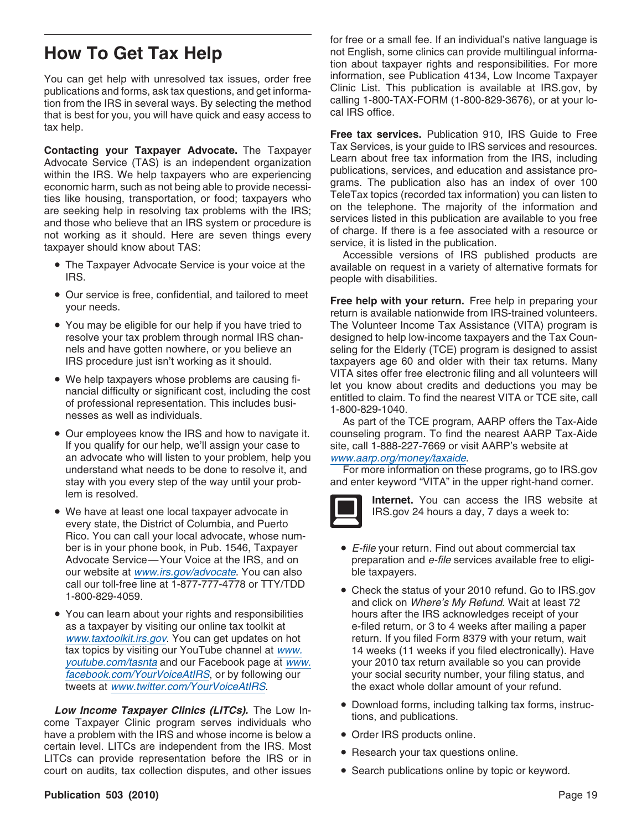publications and forms, ask tax questions, and get informa-<br>tion from the IRS in several ways. By selecting the method<br>that is best for you, you will have quick and easy access to call IRS office.

**Contacting your Taxpayer Advocate**. The Taxpayer<br>Advocate Service (TAS) is an independent organization<br>Max Services, is your guide to IRS services and resources.<br>Advocate Service (TAS) is an independent organization<br>withi

- The Taxpayer Advocate Service is your voice at the
- Our service is free, confidential, and tailored to meet
- You may be eligible for our help if you have tried to
- The mancial difficulty or significant cost, including the cost<br>of professional representation. This includes busi-<br>nesses as well as individuals.<br>As part of the TCE program, AARP offers the Tax-Aide
- Our employees know the IRS and how to navigate it. If you qualify for our help, we'll assign your case to site, call 1-888-227-7669 or visit AARP's website at an advocate who will listen to your problem, help you www.aarp.org/money/taxaide. lem is resolved. **Internet.** You can access the IRS website at
- We have at least one local taxpayer advocate in IRS.gov 24 hours a day, 7 days a week to: every state, the District of Columbia, and Puerto Rico. You can call your local advocate, whose number is in your phone book, in Pub. 1546, Taxpayer  $\bullet$  F-file your return. Find out about commercial tax our website at *www.irs.gov/advocate*. You can also ble taxpayers. call our toll-free line at 1-877-777-4778 or TTY/TDD<br>1-800-829-4059.
- $\bullet$  You can learn about your rights and responsibilities  $\qquad \qquad$  hours after the IRS acknowledges receipt of your youtube.com/tasnta and our Facebook page at www. your 2010 tax return available so you can provide tweets at www.twitter.com/YourVoiceAtIRS. the exact whole dollar amount of your refund.

**Low Income Taxpayer Clinics (LITCs).** The Low In-<br>come Taxpayer Clinic program serves individuals who tions, and publications. have a problem with the IRS and whose income is below a **•** Order IRS products online. certain level. LITCs are independent from the IRS. Most • Research your tax questions online. LITCs can provide representation before the IRS or in court on audits, tax collection disputes, and other issues • Search publications online by topic or keyword.

for free or a small fee. If an individual's native language is **How To Get Tax Help** not English, some clinics can provide multilingual information about taxpayer rights and responsibilities. For more You can get help with unresolved tax issues, order free information, see Publication 4134, Low Income Taxpayer<br>publications and forms, ask tax questions, and get informa. Clinic List. This publication is available at IRS.g

tax help. **Free tax services.** Publication 910, IRS Guide to Free

The Taxpayer Advocate Service is your voice at the available on request in a variety of alternative formats for<br>IRS. people with disabilities.

Our service is free, confidential, and tailored to meet **Free help with your return.** Free help in preparing your your needs.<br>return is available nationwide from IRS-trained volunteers. The Volunteer Income Tax Assistance (VITA) program is resolve your tax problem through normal IRS chan- designed to help low-income taxpayers and the Tax Counnels and have gotten nowhere, or you believe an seling for the Elderly (TCE) program is designed to assist IRS procedure just isn't working as it should. taxpayers age 60 and older with their tax returns. Many ■ We help taxpayers whose problems are causing fi-<br>■ let you linew she that free electronic filing and all volunteers will

counseling program. To find the nearest AARP Tax-Aide

understand what needs to be done to resolve it, and For more information on these programs, go to IRS.gov stay with you every step of the way until your prob- and enter keyword "VITA" in the upper right-hand corner.



- Advocate Service—Your Voice at the IRS, and on preparation and *e-file* services available free to eligi-
- Check the status of your 2010 refund. Go to IRS.gov and click on Where's My Refund. Wait at least 72 as a taxpayer by visiting our online tax toolkit at e-filed return, or 3 to 4 weeks after mailing a paper www.taxtoolkit.irs.gov. You can get updates on hot return. If you filed Form 8379 with your return, wait tax topics by visiting our YouTube channel at www. 14 weeks (11 weeks if you filed electronically). Have facebook.com/YourVoiceAtIRS, or by following our your social security number, your filing status, and
	- Download forms, including talking tax forms, instruc-
	-
	-
	-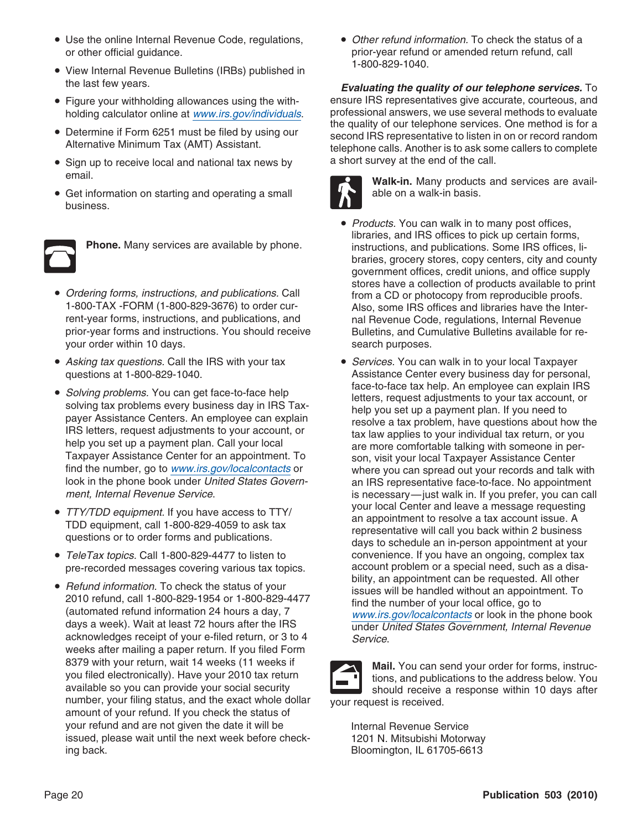- Use the online Internal Revenue Code, regulations, • Other refund information. To check the status of a or other official guidance. prior-year refund or amended return refund, call
- View Internal Revenue Bulletins (IRBs) published in
- 
- 
- Sign up to receive local and national tax news by a short survey at the end of the call.
- Get information on starting and operating a small **ability of a**ble on a walk-in basis. business.



- Ordering forms, instructions, and publications. Call from a CD or photocopy from reproducible proofs. your order within 10 days. search purposes.
- 
- Solving problems. You can get face-to-face help<br>solving tax problems every business day in IRS Tax-<br>payer Assistance Centers. An employee can explain<br>IRS letters, request adjustments to your account, or<br>IRS letters, requ
- 
- TeleTax topics. Call 1-800-829-4477 to listen to
- acknowledges receipt of your e-filed return, or 3 to 4 Service. weeks after mailing a paper return. If you filed Form number, your filing status, and the exact whole dollar your request is received. amount of your refund. If you check the status of your refund and are not given the date it will be Internal Revenue Service issued, please wait until the next week before check- 1201 N. Mitsubishi Motorway ing back. Bloomington, IL 61705-6613

1-800-829-1040.

the last few years. *Evaluating the quality of our telephone services.* To • Figure your withholding allowances using the with- ensure IRS representatives give accurate, courteous, and holding calculator online at www.irs.gov/individuals. professional answers, we use several methods to evaluate • Determine if Form 6251 must be filed by using our **the quality of our telephone services.** One method is for a •<br>• Determine if Form 6251 must be filed by using our Determine if Form 6251 must be filed by using our second IRS representative to listen in on or record random<br>Alternative Minimum Tax (AMT) Assistant. telephone calls. Another is to ask some callers to complete



email. **Walk-in.** Many products and services are avail-

- Products. You can walk in to many post offices, libraries, and IRS offices to pick up certain forms, **Phone.** Many services are available by phone. instructions, and publications. Some IRS offices, libraries, grocery stores, copy centers, city and county government offices, credit unions, and office supply stores have a collection of products available to print 1-800-TAX -FORM (1-800-829-3676) to order cur- Also, some IRS offices and libraries have the Interrent-year forms, instructions, and publications, and nal Revenue Code, regulations, Internal Revenue prior-year forms and instructions. You should receive Bulletins, and Cumulative Bulletins available for re-
- Asking tax questions. Call the IRS with your tax Services. You can walk in to your local Taxpayer questions at 1-800-829-1040. Assistance Center every business day for personal, **6** Solving problems. You can get face-to-face help **the example of the solving problems**. You can get face-to-face help **face-to-face tax help. An employee can explain IRS** letters, request adjustments to your tax account find the number, go to www.irs.gov/localcontacts or where you can spread out your records and talk with look in the phone book under United States Govern- an IRS representative face-to-face. No appointment ment, Internal Revenue Service. it is necessary—just walk in. If you prefer, you can call your local Center and leave a message requesting<br>an appointment to resolve a tax account issue. A • TTY/TDD equipment. If you have access to TTY/<br>TDD equipment, call 1-800-829-4059 to ask tax<br>questions or to order forms and publications.<br>days to schedule an in-person appointment at your convenience. If you have an ongoing, complex tax pre-recorded messages covering various tax topics. account problem or a special need, such as a disability, an appointment can be requested. All other<br>Refund information. To check the status of your<br>Fall of the result is bandled without an appointment. To Example and the state states of your states will be handled without an appointment. To 2010 refund, call 1-800-829-1954 or 1-800-829-4477 find the number of your local office, go to fautomated refund information 24 hours a

8379 with your return, wait 14 weeks (11 weeks if<br>you filed electronically). Have your 2010 tax return<br>available so you can provide your social security<br>should receive a response within 10 days after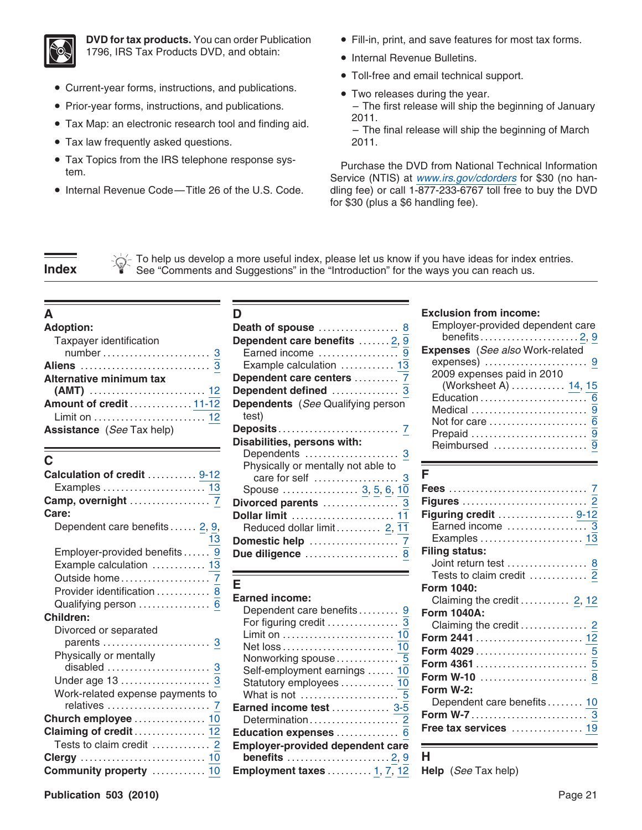

1796, IRS Tax Products DVD, and obtain: •

- Current-year forms, instructions, and publications. •
- Prior-year forms, instructions, and publications.
- Tax Map: an electronic research tool and finding aid.  $2011$ .
- Tax law frequently asked questions. 2011.
- Tax Topics from the IRS telephone response sys-
- Internal Revenue Code-Title 26 of the U.S. Code.
- **DVD for tax products.** You can order Publication Fill-in, print, and save features for most tax forms.
	- Internal Revenue Bulletins.
	- Toll-free and email technical support.
	- Two releases during the year. - The first release will ship the beginning of January
		- The final release will ship the beginning of March<br>2011.

Tax Topics from the IRS telephone response sys-<br>
Purchase the DVD from National Technical Information<br>
Service (NTIS) at www.irs.gov/cdorders for \$30 (no handling fee) or call 1-877-233-6767 toll free to buy the DVD for \$30 (plus a \$6 handling fee).

To help us develop a more useful index, please let us know if you have ideas for index entries. **Index** See "Comments and Suggestions" in the "Introduction" for the ways you can reach us.

| <b>Adoption:</b>                 |  |
|----------------------------------|--|
| Taxpayer identification          |  |
|                                  |  |
|                                  |  |
| Alternative minimum tax          |  |
|                                  |  |
| Amount of credit 11-12           |  |
| Limit on  12                     |  |
| <b>Assistance</b> (See Tax help) |  |

| Calculation of credit  9-12      | $\mu$ , $\mu$ , $\mu$ , $\mu$ , $\mu$ , $\mu$ , $\mu$ , $\mu$ , $\mu$<br>care for self  3 | F              |
|----------------------------------|-------------------------------------------------------------------------------------------|----------------|
|                                  | Spouse  3, 5, 6, 10                                                                       | F)             |
|                                  | Divorced parents  3                                                                       | Fi             |
| Care:                            | Dollar limit  11                                                                          | Fi             |
| Dependent care benefits  2, 9,   | Reduced dollar limit 2, 11                                                                |                |
| 13                               |                                                                                           |                |
| Employer-provided benefits 9     | Due diligence  8                                                                          | Fi             |
| Example calculation  13          |                                                                                           |                |
|                                  | Е                                                                                         |                |
| Provider identification  8       | <b>Earned income:</b>                                                                     | F٥             |
|                                  | Dependent care benefits 9                                                                 |                |
| Children:                        |                                                                                           | F)             |
| Divorced or separated            | Limit on  10                                                                              | F <sub>(</sub> |
| parents  3                       |                                                                                           | F <sub>0</sub> |
| Physically or mentally           | Nonworking spouse 5                                                                       | F <sub>0</sub> |
|                                  | Self-employment earnings  10                                                              |                |
|                                  | Statutory employees  10                                                                   | F <sub>0</sub> |
| Work-related expense payments to |                                                                                           | F)             |
|                                  | Earned income test  3-5                                                                   |                |
| Church employee  10              | Determination 2                                                                           | F <sub>0</sub> |
| Claiming of credit 12            | Education expenses  6                                                                     | Fı             |
| Tests to claim credit  2         | <b>Employer-provided dependent care</b>                                                   | $=$            |
|                                  |                                                                                           | н              |
| Community property  10           | <b>Employment taxes  1, 7, 12</b>                                                         | н              |
|                                  |                                                                                           |                |

| м.                               |                                          | слогозгон понглюонго.                  |
|----------------------------------|------------------------------------------|----------------------------------------|
| <b>Adoption:</b>                 | Death of spouse  8                       | Employer-provided dependent care       |
| Taxpayer identification          | Dependent care benefits 2, 9             |                                        |
| $number \dots 3$                 |                                          | <b>Expenses</b> (See also Work-related |
|                                  | Example calculation  13                  |                                        |
| Alternative minimum tax          | Dependent care centers  7                | 2009 expenses paid in 2010             |
|                                  | Dependent defined  3                     | (Worksheet A)  14, 15                  |
| Amount of credit  11-12          | <b>Dependents</b> (See Qualifying person |                                        |
|                                  | test)                                    |                                        |
| <b>Assistance</b> (See Tax help) |                                          |                                        |
|                                  | Disabilities, persons with:              |                                        |
|                                  |                                          |                                        |
|                                  | Physically or mentally not able to       |                                        |
| Calculation of credit  9-12      |                                          |                                        |
|                                  | Spouse  3, 5, 6, 10                      |                                        |
|                                  |                                          |                                        |
| <b>Care:</b>                     |                                          | Figuring credit  9-12                  |
| Dependent care benefits $2, 9,$  | Reduced dollar limit 2, 11               | Earned income  3                       |
| 13                               |                                          | Examples  13                           |
| Employer-provided benefits 9     | Due diligence  8                         | <b>Filing status:</b>                  |
| Example calculation  13          |                                          | Joint return test  8                   |

| <u>ı iyyiyel iyelimcandlı 0</u><br>Qualifying person  6<br>ildren:<br>Divorced or separated<br>Physically or mentally<br>Under age 13  3<br>Work-related expense payments to<br>nurch employee 10<br>aiming of credit 12 | <b>Earned income:</b><br>Dependent care benefits 9<br>Nonworking spouse 5<br>Self-employment earnings  10<br>Statutory employees  10<br>Earned income test  3-5<br>Education expenses  6 | Claiming the credit<br><b>Form 1040A:</b><br>Claiming the credit<br>Form 2441<br>Form 4029<br>Form 4361<br>Form W-10<br>Form W-2:<br>Dependent care be<br>Form W-7<br>Free tax services |
|--------------------------------------------------------------------------------------------------------------------------------------------------------------------------------------------------------------------------|------------------------------------------------------------------------------------------------------------------------------------------------------------------------------------------|-----------------------------------------------------------------------------------------------------------------------------------------------------------------------------------------|
| Tests to claim credit  2                                                                                                                                                                                                 | <b>Employer-provided dependent care</b>                                                                                                                                                  | н                                                                                                                                                                                       |
| ommunity property  10                                                                                                                                                                                                    | <b>Employment taxes  1, 7, 12</b>                                                                                                                                                        | Help (See Tax help)                                                                                                                                                                     |

## **A D Exclusion from income:**

| Employer-provided dependent care |
|----------------------------------|
| benefits2,9                      |
| Expenses (See also Work-related  |
|                                  |
| 2009 expenses paid in 2010       |
| (Worksheet A)  14, 15            |
|                                  |
|                                  |
|                                  |
|                                  |
|                                  |
|                                  |

| <u> Januaratuuri Ul Uluan, 0 12</u> |                                              |                            |
|-------------------------------------|----------------------------------------------|----------------------------|
|                                     | Spouse  3, 5, 6, 10                          |                            |
|                                     | Divorced parents  3                          |                            |
| <b>Care:</b>                        | Dollar limit  11                             | Figuring credit  9-12      |
| Dependent care benefits  2, 9,      | Reduced dollar limit 2, 11                   | Earned income  3           |
|                                     |                                              |                            |
| Employer-provided benefits 9        | Due diligence  8                             | <b>Filing status:</b>      |
| Example calculation  13             |                                              | Joint return test  8       |
|                                     |                                              | Tests to claim credit  2   |
| Provider identification  8          |                                              | Form 1040:                 |
|                                     | <b>Earned income:</b>                        | Claiming the credit  2, 12 |
| <b>Children:</b>                    | Dependent care benefits 9                    | <b>Form 1040A:</b>         |
| Divorced or separated               |                                              |                            |
|                                     |                                              |                            |
|                                     |                                              |                            |
| Physically or mentally              | Nonworking spouse 5                          |                            |
|                                     | Self-employment earnings  10                 |                            |
|                                     | Statutory employees  10                      | Form W-2:                  |
| Work-related expense payments to    | What is not                                  | Dependent care benefits 10 |
|                                     | Earned income test  3-5                      |                            |
| Church employee  10                 | Determination                                |                            |
| Claiming of credit 12               | Education expenses  6                        | Free tax services  19      |
| To be to be a point                 | Facto La componentata al al anche al anche a |                            |

**Publication 503 (2010)** Page 21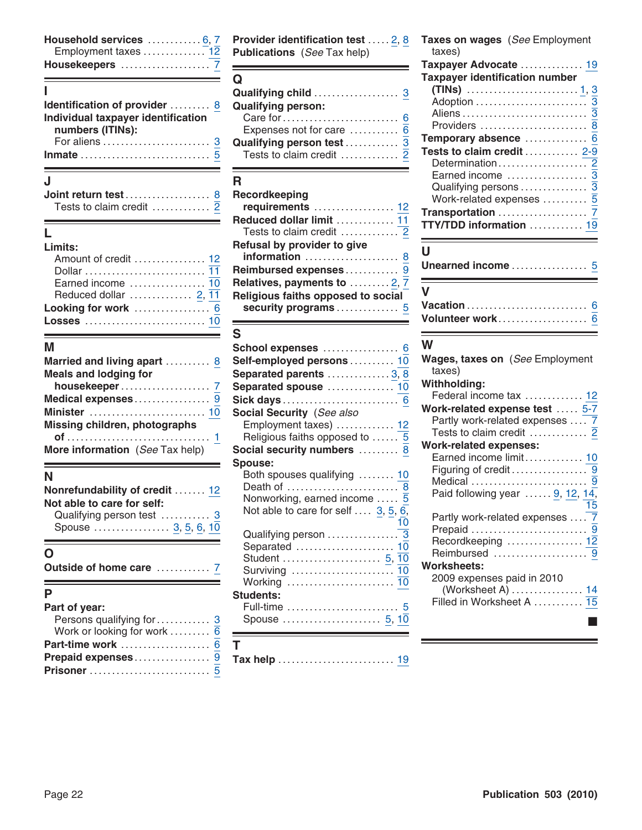| Household services  6, 7 |  |
|--------------------------|--|
| Employment taxes  12     |  |
|                          |  |

| Identification of provider  8<br>Individual taxpayer identification |  |
|---------------------------------------------------------------------|--|
| numbers (ITINs):                                                    |  |
| For aliens $\ldots \ldots \ldots \ldots \ldots \ldots$ 3            |  |
|                                                                     |  |

| Joint return test     |  |  |
|-----------------------|--|--|
| Tests to claim credit |  |  |

| Limits:               | Refusal by provider to give |
|-----------------------|-----------------------------|
| Amount of credit  12  | information                 |
|                       | Reimbursed expenses         |
| Earned income  10     | Relatives, payments to      |
| Reduced dollar  2, 11 | Religious faiths opposed to |
|                       | security programs           |
|                       |                             |

| ---                             |                                                       |                                 |
|---------------------------------|-------------------------------------------------------|---------------------------------|
|                                 | Married and living apart  8 Self-employed persons  10 | Wages, taxes on (See Employment |
| <b>Meals and lodging for</b>    | Separated parents 3, 8                                | taxes)                          |
|                                 |                                                       | Withholding:                    |
|                                 |                                                       |                                 |
|                                 | <b>Social Security</b> (See also                      | Work-related expense test  5-   |
| Missing children, photographs   | Employment taxes)  12                                 | Partly work-related expenses    |
|                                 | Religious faiths opposed to $\dots \overline{5}$      | Tests to claim credit           |
| More information (See Tax help) | Social security numbers  8                            | <b>Work-related expenses:</b>   |
|                                 |                                                       | Earned income limit             |

| Nonrefundability of credit  12 |  |
|--------------------------------|--|
| Not able to care for self:     |  |
| Qualifying person test  3      |  |
| Spouse  3, 5, 6, 10            |  |

| Part of year:             |                          |
|---------------------------|--------------------------|
| Persons qualifying for  3 |                          |
|                           | $\overline{\phantom{0}}$ |
|                           | т                        |
|                           | т                        |
|                           |                          |

Publications (See Tax help)

| Qualifying child $\ldots \ldots \ldots \ldots \ldots \quad 3$<br>Qualifying person:     |  |
|-----------------------------------------------------------------------------------------|--|
| Expenses not for care  6<br><b>Qualifying person test</b> 3<br>Tests to claim credit  2 |  |
| ₹                                                                                       |  |

| int return test 8 Recordkeeping                                                                     | Reduced dollar limit $\ldots \ldots \ldots \frac{11}{n}$ TTY/TDD information $\ldots \ldots \ldots \frac{19}{n}$                                                                     | Work-related expenses  5 |
|-----------------------------------------------------------------------------------------------------|--------------------------------------------------------------------------------------------------------------------------------------------------------------------------------------|--------------------------|
| mits:<br>Amount of credit  12<br>Dollar $\ldots\ldots\ldots\ldots\ldots\ldots\ldots\overline{11}$ . | Refusal by provider to give<br>information  8<br>Reimbursed expenses 9                                                                                                               | Unearned income  5       |
| Earned income  10<br>Reduced dollar $\ldots$ 2, $\overline{11}$                                     | <b>Relatives, payments to 2, 7</b><br>Religious faiths opposed to social<br>ooking for work $\ldots$ , $\ldots$ , $\qquad \qquad$ security programs $\ldots$ , $\ldots$ , $\qquad 5$ |                          |

## **S**

| Μ                                                       | School expenses  6                         | W                   |
|---------------------------------------------------------|--------------------------------------------|---------------------|
|                                                         | Self-employed persons  10                  | Wages, taxes        |
| Married and living apart  8                             |                                            | taxes)              |
| <b>Meals and lodging for</b>                            | Separated parents 3, 8                     | Withholding:        |
|                                                         | Separated spouse  10                       | Federal inc         |
| Medical expenses $\ldots \ldots \ldots \ldots \ldots 9$ |                                            |                     |
| Minister  10                                            | Social Security (See also                  | <b>Work-related</b> |
| Missing children, photographs                           | Employment taxes)  12                      | Partly work         |
|                                                         | Religious faiths opposed to  5             | Tests to cla        |
| More information (See Tax help)                         | Social security numbers  8                 | <b>Work-related</b> |
|                                                         | Spouse:                                    | Earned inco         |
|                                                         | Both spouses qualifying  10                | Figuring of         |
|                                                         |                                            | Medical             |
| Nonrefundability of credit  12                          | Nonworking, earned income $\overline{5}$   | Paid followi        |
| Not able to care for self:                              | Not able to care for self $\dots$ 3, 5, 6, |                     |
| Qualifying person test  3                               |                                            | Partly work         |
| Spouse  3, 5, 6, 10                                     |                                            | Prepaid             |
|                                                         |                                            | Recordkeep          |
| O                                                       | Separated  10                              | Reimburse           |
| Outside of home care  7                                 |                                            | <b>Worksheets:</b>  |
|                                                         | Surviving  10                              | 2009 exper          |
| Þ                                                       | Working  10                                | (Workshe            |
|                                                         | <b>Students:</b>                           | Filled in Wo        |
| Part of year:                                           |                                            |                     |
| Persons qualifying for  3                               |                                            |                     |
| Work or looking for work  6                             |                                            |                     |

|          | Prepaid expenses……………… $\frac{9}{2}$ Tax help ………………………… 19 |  |
|----------|-------------------------------------------------------------|--|
| Duiaanau |                                                             |  |

**Provider identification test** ......2, 8 **Taxes on wages** (See Employment **Publications** (See Tax help) taxes) **Taxpayer Advocate** ................ 19 **Q Taxpayer identification number <sup>I</sup> Qualifying child (TINs)** ......................... 1, 3 ................... <sup>3</sup> Adoption ......................... <sup>3</sup> **Identification of provider** ......... <sup>8</sup> **Qualifying person:** Aliens ............................ <sup>3</sup> **Individual taxpayer identification** Care for .......................... <sup>6</sup> Providers ........................ <sup>8</sup> **numbers (ITINs):** Expenses not for care ........... <sup>6</sup> **Temporary absence** .............. <sup>6</sup> For aliens ........................ <sup>3</sup> **Qualifying person test** ............ <sup>3</sup> **Tests to claim credit** ............ 2-9 **Inmate** ............................. <sup>5</sup> Tests to claim credit ............. <sup>2</sup> Determination.................... 2 Earned income .................. <sup>3</sup> **<sup>J</sup> <sup>R</sup>** Qualifying persons ............... <sup>3</sup> **Joint return test**................... <sup>8</sup> **Recordkeeping** Work-related expenses .......... <sup>5</sup> Tests to claim credit ............. <sup>2</sup> **requirements** .................. <sup>12</sup> **Transportation** .................... <sup>7</sup> **REDUCED Information** ............... 19

| v |  |  |  |  |  |  |  |
|---|--|--|--|--|--|--|--|

|                                                        | $R$ required dollar $\ldots \ldots \ldots$ $\ldots$ $\ldots$ $\ldots$ $\ldots$ $\ldots$ religious faiths opposed to social |  |
|--------------------------------------------------------|----------------------------------------------------------------------------------------------------------------------------|--|
| Looking for work $\,\ldots\ldots\ldots\ldots\ldots\,6$ |                                                                                                                            |  |
| Losses  10                                             |                                                                                                                            |  |
|                                                        |                                                                                                                            |  |

| Married and living apart  8                                | Self-employed persons  10                  | Wages, taxes on (See Employment         |
|------------------------------------------------------------|--------------------------------------------|-----------------------------------------|
| Meals and lodging for                                      | Separated parents 3, 8                     | taxes)                                  |
|                                                            | Separated spouse  10                       | Withholding:                            |
| Medical expenses $\ldots \ldots \ldots \ldots \ldots \, 9$ |                                            | Federal income tax  12                  |
| Minister  10                                               | Social Security (See also                  | Work-related expense test  5-7          |
| Missing children, photographs                              | Employment taxes)  12                      | Partly work-related expenses  7         |
|                                                            | Religious faiths opposed to  5             | Tests to claim credit  2                |
| More information (See Tax help)                            | Social security numbers  8                 | <b>Work-related expenses:</b>           |
|                                                            | Spouse:                                    | Earned income limit 10                  |
|                                                            | Both spouses qualifying  10                |                                         |
| N                                                          |                                            |                                         |
| Nonrefundability of credit  12                             | Nonworking, earned income  5               | Paid following year $\ldots$ 9, 12, 14, |
| Not able to care for self:                                 |                                            |                                         |
| Qualifying person test  3                                  | Not able to care for self $\dots$ 3, 5, 6, | Partly work-related expenses  7         |
| Spouse  3, 5, 6, 10                                        |                                            |                                         |
|                                                            |                                            | Recordkeeping  12                       |
| O                                                          | Separated  10<br>Student  5, 10            |                                         |
|                                                            |                                            | <b>Worksheets:</b>                      |
|                                                            |                                            | 2009 expenses paid in 2010              |
| P                                                          |                                            | (Worksheet A)  14                       |
|                                                            | <b>Students:</b><br>Full-time  5           | Filled in Worksheet A  15               |
| Part of year:                                              |                                            |                                         |
|                                                            |                                            |                                         |